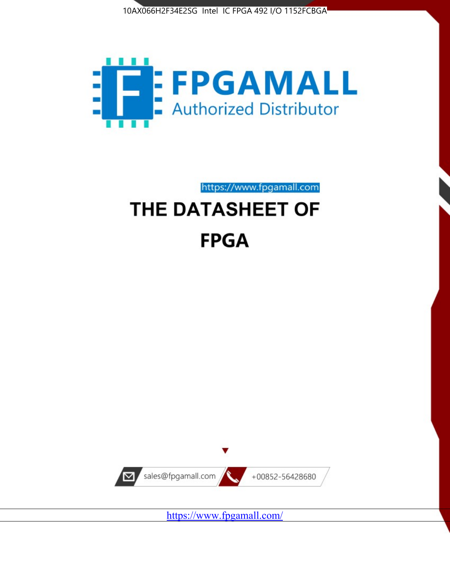



https://www.fpgamall.com

# THE DATASHEET OF **FPGA**



<https://www.fpgamall.com/>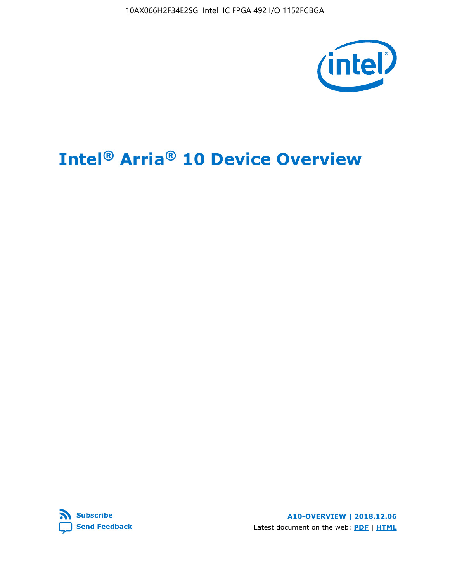10AX066H2F34E2SG Intel IC FPGA 492 I/O 1152FCBGA



# **Intel® Arria® 10 Device Overview**



**A10-OVERVIEW | 2018.12.06** Latest document on the web: **[PDF](https://www.intel.com/content/dam/www/programmable/us/en/pdfs/literature/hb/arria-10/a10_overview.pdf)** | **[HTML](https://www.intel.com/content/www/us/en/programmable/documentation/sam1403480274650.html)**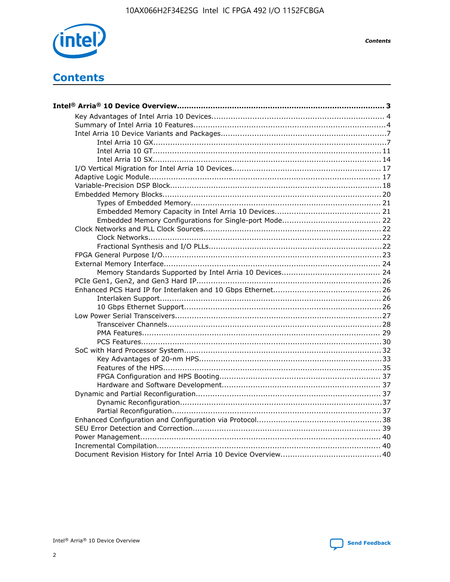

**Contents** 

# **Contents**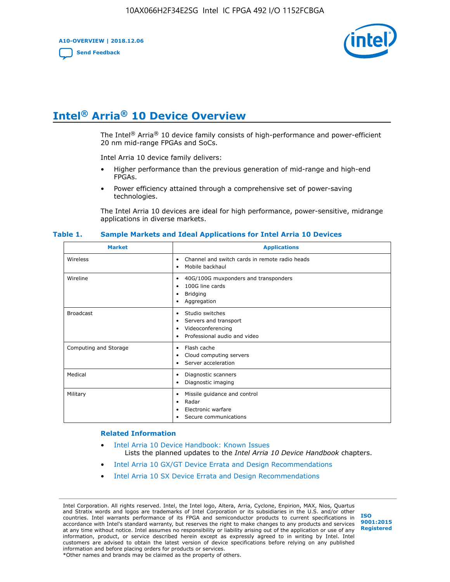**A10-OVERVIEW | 2018.12.06**

**[Send Feedback](mailto:FPGAtechdocfeedback@intel.com?subject=Feedback%20on%20Intel%20Arria%2010%20Device%20Overview%20(A10-OVERVIEW%202018.12.06)&body=We%20appreciate%20your%20feedback.%20In%20your%20comments,%20also%20specify%20the%20page%20number%20or%20paragraph.%20Thank%20you.)**



# **Intel® Arria® 10 Device Overview**

The Intel<sup>®</sup> Arria<sup>®</sup> 10 device family consists of high-performance and power-efficient 20 nm mid-range FPGAs and SoCs.

Intel Arria 10 device family delivers:

- Higher performance than the previous generation of mid-range and high-end FPGAs.
- Power efficiency attained through a comprehensive set of power-saving technologies.

The Intel Arria 10 devices are ideal for high performance, power-sensitive, midrange applications in diverse markets.

| <b>Market</b>         | <b>Applications</b>                                                                                               |
|-----------------------|-------------------------------------------------------------------------------------------------------------------|
| Wireless              | Channel and switch cards in remote radio heads<br>٠<br>Mobile backhaul<br>٠                                       |
| Wireline              | 40G/100G muxponders and transponders<br>٠<br>100G line cards<br>٠<br><b>Bridging</b><br>٠<br>Aggregation<br>٠     |
| <b>Broadcast</b>      | Studio switches<br>٠<br>Servers and transport<br>٠<br>Videoconferencing<br>٠<br>Professional audio and video<br>٠ |
| Computing and Storage | Flash cache<br>٠<br>Cloud computing servers<br>٠<br>Server acceleration<br>٠                                      |
| Medical               | Diagnostic scanners<br>٠<br>Diagnostic imaging<br>$\bullet$                                                       |
| Military              | Missile guidance and control<br>٠<br>Radar<br>٠<br>Electronic warfare<br>٠<br>Secure communications<br>٠          |

#### **Table 1. Sample Markets and Ideal Applications for Intel Arria 10 Devices**

#### **Related Information**

- [Intel Arria 10 Device Handbook: Known Issues](http://www.altera.com/support/kdb/solutions/rd07302013_646.html) Lists the planned updates to the *Intel Arria 10 Device Handbook* chapters.
- [Intel Arria 10 GX/GT Device Errata and Design Recommendations](https://www.intel.com/content/www/us/en/programmable/documentation/agz1493851706374.html#yqz1494433888646)
- [Intel Arria 10 SX Device Errata and Design Recommendations](https://www.intel.com/content/www/us/en/programmable/documentation/cru1462832385668.html#cru1462832558642)

Intel Corporation. All rights reserved. Intel, the Intel logo, Altera, Arria, Cyclone, Enpirion, MAX, Nios, Quartus and Stratix words and logos are trademarks of Intel Corporation or its subsidiaries in the U.S. and/or other countries. Intel warrants performance of its FPGA and semiconductor products to current specifications in accordance with Intel's standard warranty, but reserves the right to make changes to any products and services at any time without notice. Intel assumes no responsibility or liability arising out of the application or use of any information, product, or service described herein except as expressly agreed to in writing by Intel. Intel customers are advised to obtain the latest version of device specifications before relying on any published information and before placing orders for products or services. \*Other names and brands may be claimed as the property of others.

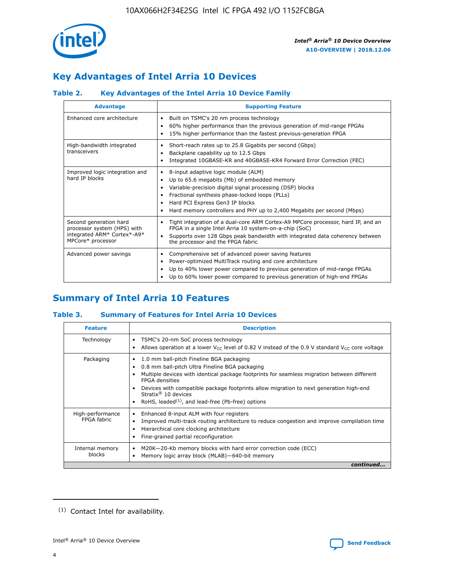

# **Key Advantages of Intel Arria 10 Devices**

## **Table 2. Key Advantages of the Intel Arria 10 Device Family**

| <b>Advantage</b>                                                                                          | <b>Supporting Feature</b>                                                                                                                                                                                                                                                                                                |
|-----------------------------------------------------------------------------------------------------------|--------------------------------------------------------------------------------------------------------------------------------------------------------------------------------------------------------------------------------------------------------------------------------------------------------------------------|
| Enhanced core architecture                                                                                | Built on TSMC's 20 nm process technology<br>٠<br>60% higher performance than the previous generation of mid-range FPGAs<br>٠<br>15% higher performance than the fastest previous-generation FPGA<br>٠                                                                                                                    |
| High-bandwidth integrated<br>transceivers                                                                 | Short-reach rates up to 25.8 Gigabits per second (Gbps)<br>٠<br>Backplane capability up to 12.5 Gbps<br>٠<br>Integrated 10GBASE-KR and 40GBASE-KR4 Forward Error Correction (FEC)<br>٠                                                                                                                                   |
| Improved logic integration and<br>hard IP blocks                                                          | 8-input adaptive logic module (ALM)<br>٠<br>Up to 65.6 megabits (Mb) of embedded memory<br>٠<br>Variable-precision digital signal processing (DSP) blocks<br>Fractional synthesis phase-locked loops (PLLs)<br>Hard PCI Express Gen3 IP blocks<br>Hard memory controllers and PHY up to 2,400 Megabits per second (Mbps) |
| Second generation hard<br>processor system (HPS) with<br>integrated ARM* Cortex*-A9*<br>MPCore* processor | Tight integration of a dual-core ARM Cortex-A9 MPCore processor, hard IP, and an<br>٠<br>FPGA in a single Intel Arria 10 system-on-a-chip (SoC)<br>Supports over 128 Gbps peak bandwidth with integrated data coherency between<br>$\bullet$<br>the processor and the FPGA fabric                                        |
| Advanced power savings                                                                                    | Comprehensive set of advanced power saving features<br>٠<br>Power-optimized MultiTrack routing and core architecture<br>٠<br>Up to 40% lower power compared to previous generation of mid-range FPGAs<br>Up to 60% lower power compared to previous generation of high-end FPGAs                                         |

# **Summary of Intel Arria 10 Features**

## **Table 3. Summary of Features for Intel Arria 10 Devices**

| <b>Feature</b>                  | <b>Description</b>                                                                                                                                                                                                                                                                                                                                                                                       |
|---------------------------------|----------------------------------------------------------------------------------------------------------------------------------------------------------------------------------------------------------------------------------------------------------------------------------------------------------------------------------------------------------------------------------------------------------|
| Technology                      | TSMC's 20-nm SoC process technology<br>٠<br>Allows operation at a lower $V_{\text{CC}}$ level of 0.82 V instead of the 0.9 V standard $V_{\text{CC}}$ core voltage                                                                                                                                                                                                                                       |
| Packaging                       | 1.0 mm ball-pitch Fineline BGA packaging<br>0.8 mm ball-pitch Ultra Fineline BGA packaging<br>Multiple devices with identical package footprints for seamless migration between different<br><b>FPGA</b> densities<br>Devices with compatible package footprints allow migration to next generation high-end<br>Stratix $\mathcal{R}$ 10 devices<br>RoHS, leaded $(1)$ , and lead-free (Pb-free) options |
| High-performance<br>FPGA fabric | Enhanced 8-input ALM with four registers<br>٠<br>Improved multi-track routing architecture to reduce congestion and improve compilation time<br>Hierarchical core clocking architecture<br>Fine-grained partial reconfiguration                                                                                                                                                                          |
| Internal memory<br>blocks       | M20K-20-Kb memory blocks with hard error correction code (ECC)<br>Memory logic array block (MLAB)-640-bit memory                                                                                                                                                                                                                                                                                         |
|                                 | continued                                                                                                                                                                                                                                                                                                                                                                                                |



<sup>(1)</sup> Contact Intel for availability.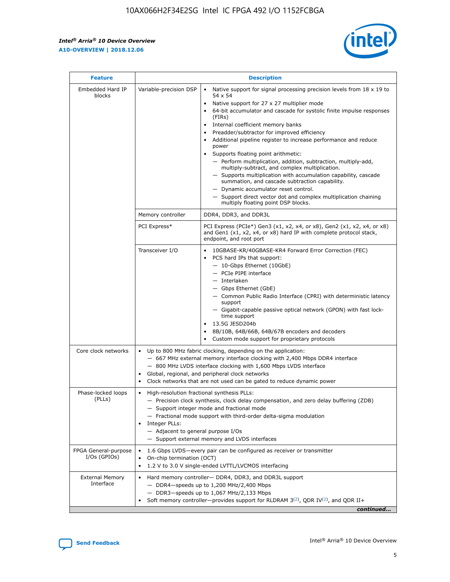$\mathbf{r}$ 



| <b>Feature</b>                         |                                                                                                                                                                                                                                                                         | <b>Description</b>                                                                                                                                                                                                                                                                                                                                                                                                                                                                                                                                                                                                                                                                                                                                                                                                                                                            |  |  |  |  |
|----------------------------------------|-------------------------------------------------------------------------------------------------------------------------------------------------------------------------------------------------------------------------------------------------------------------------|-------------------------------------------------------------------------------------------------------------------------------------------------------------------------------------------------------------------------------------------------------------------------------------------------------------------------------------------------------------------------------------------------------------------------------------------------------------------------------------------------------------------------------------------------------------------------------------------------------------------------------------------------------------------------------------------------------------------------------------------------------------------------------------------------------------------------------------------------------------------------------|--|--|--|--|
| Embedded Hard IP<br>blocks             | Variable-precision DSP                                                                                                                                                                                                                                                  | Native support for signal processing precision levels from $18 \times 19$ to<br>$\bullet$<br>54 x 54<br>Native support for 27 x 27 multiplier mode<br>$\bullet$<br>64-bit accumulator and cascade for systolic finite impulse responses<br>$\bullet$<br>(FIRs)<br>Internal coefficient memory banks<br>$\bullet$<br>Preadder/subtractor for improved efficiency<br>Additional pipeline register to increase performance and reduce<br>power<br>Supports floating point arithmetic:<br>- Perform multiplication, addition, subtraction, multiply-add,<br>multiply-subtract, and complex multiplication.<br>- Supports multiplication with accumulation capability, cascade<br>summation, and cascade subtraction capability.<br>- Dynamic accumulator reset control.<br>- Support direct vector dot and complex multiplication chaining<br>multiply floating point DSP blocks. |  |  |  |  |
|                                        | Memory controller                                                                                                                                                                                                                                                       | DDR4, DDR3, and DDR3L                                                                                                                                                                                                                                                                                                                                                                                                                                                                                                                                                                                                                                                                                                                                                                                                                                                         |  |  |  |  |
|                                        | PCI Express*                                                                                                                                                                                                                                                            | PCI Express (PCIe*) Gen3 (x1, x2, x4, or x8), Gen2 (x1, x2, x4, or x8)<br>and Gen1 (x1, x2, x4, or x8) hard IP with complete protocol stack,<br>endpoint, and root port                                                                                                                                                                                                                                                                                                                                                                                                                                                                                                                                                                                                                                                                                                       |  |  |  |  |
|                                        | Transceiver I/O                                                                                                                                                                                                                                                         | 10GBASE-KR/40GBASE-KR4 Forward Error Correction (FEC)<br>PCS hard IPs that support:<br>٠<br>- 10-Gbps Ethernet (10GbE)<br>- PCIe PIPE interface<br>- Interlaken<br>- Gbps Ethernet (GbE)<br>- Common Public Radio Interface (CPRI) with deterministic latency<br>support<br>- Gigabit-capable passive optical network (GPON) with fast lock-<br>time support<br>13.5G JESD204b<br>$\bullet$<br>8B/10B, 64B/66B, 64B/67B encoders and decoders<br>$\bullet$<br>Custom mode support for proprietary protocols                                                                                                                                                                                                                                                                                                                                                                   |  |  |  |  |
| Core clock networks                    | $\bullet$                                                                                                                                                                                                                                                               | Up to 800 MHz fabric clocking, depending on the application:<br>- 667 MHz external memory interface clocking with 2,400 Mbps DDR4 interface<br>- 800 MHz LVDS interface clocking with 1,600 Mbps LVDS interface<br>Global, regional, and peripheral clock networks<br>Clock networks that are not used can be gated to reduce dynamic power                                                                                                                                                                                                                                                                                                                                                                                                                                                                                                                                   |  |  |  |  |
| Phase-locked loops<br>(PLLs)           | High-resolution fractional synthesis PLLs:<br>٠<br>Integer PLLs:<br>- Adjacent to general purpose I/Os                                                                                                                                                                  | - Precision clock synthesis, clock delay compensation, and zero delay buffering (ZDB)<br>- Support integer mode and fractional mode<br>- Fractional mode support with third-order delta-sigma modulation<br>- Support external memory and LVDS interfaces                                                                                                                                                                                                                                                                                                                                                                                                                                                                                                                                                                                                                     |  |  |  |  |
| FPGA General-purpose<br>$I/Os$ (GPIOs) | On-chip termination (OCT)<br>٠                                                                                                                                                                                                                                          | 1.6 Gbps LVDS-every pair can be configured as receiver or transmitter<br>1.2 V to 3.0 V single-ended LVTTL/LVCMOS interfacing                                                                                                                                                                                                                                                                                                                                                                                                                                                                                                                                                                                                                                                                                                                                                 |  |  |  |  |
| <b>External Memory</b><br>Interface    | Hard memory controller- DDR4, DDR3, and DDR3L support<br>$\bullet$<br>- DDR4-speeds up to 1,200 MHz/2,400 Mbps<br>- DDR3-speeds up to 1,067 MHz/2,133 Mbps<br>Soft memory controller—provides support for RLDRAM $3^{(2)}$ , QDR IV $^{(2)}$ , and QDR II+<br>continued |                                                                                                                                                                                                                                                                                                                                                                                                                                                                                                                                                                                                                                                                                                                                                                                                                                                                               |  |  |  |  |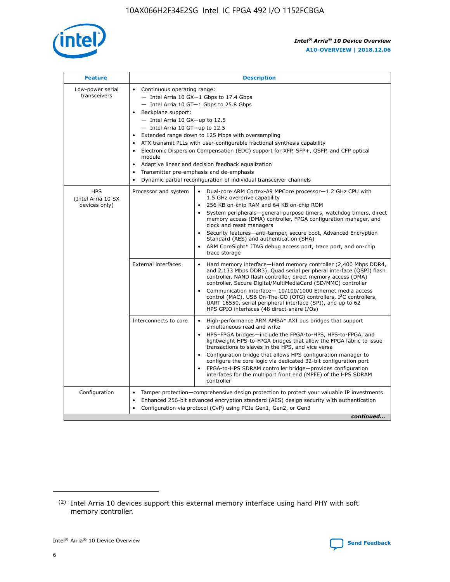

| <b>Feature</b>                                    | <b>Description</b>                                                                                                                                                                                                                                                                                                                                                                                                                                                                                                                                                                                                                         |
|---------------------------------------------------|--------------------------------------------------------------------------------------------------------------------------------------------------------------------------------------------------------------------------------------------------------------------------------------------------------------------------------------------------------------------------------------------------------------------------------------------------------------------------------------------------------------------------------------------------------------------------------------------------------------------------------------------|
| Low-power serial<br>transceivers                  | • Continuous operating range:<br>- Intel Arria 10 GX-1 Gbps to 17.4 Gbps<br>- Intel Arria 10 GT-1 Gbps to 25.8 Gbps<br>Backplane support:<br>$-$ Intel Arria 10 GX-up to 12.5<br>- Intel Arria 10 GT-up to 12.5<br>Extended range down to 125 Mbps with oversampling<br>ATX transmit PLLs with user-configurable fractional synthesis capability<br>Electronic Dispersion Compensation (EDC) support for XFP, SFP+, QSFP, and CFP optical<br>module<br>• Adaptive linear and decision feedback equalization<br>Transmitter pre-emphasis and de-emphasis<br>$\bullet$<br>Dynamic partial reconfiguration of individual transceiver channels |
| <b>HPS</b><br>(Intel Arria 10 SX<br>devices only) | Dual-core ARM Cortex-A9 MPCore processor-1.2 GHz CPU with<br>Processor and system<br>$\bullet$<br>1.5 GHz overdrive capability<br>256 KB on-chip RAM and 64 KB on-chip ROM<br>System peripherals-general-purpose timers, watchdog timers, direct<br>memory access (DMA) controller, FPGA configuration manager, and<br>clock and reset managers<br>Security features—anti-tamper, secure boot, Advanced Encryption<br>$\bullet$<br>Standard (AES) and authentication (SHA)<br>ARM CoreSight* JTAG debug access port, trace port, and on-chip<br>trace storage                                                                              |
|                                                   | <b>External interfaces</b><br>Hard memory interface-Hard memory controller (2,400 Mbps DDR4,<br>$\bullet$<br>and 2,133 Mbps DDR3), Quad serial peripheral interface (QSPI) flash<br>controller, NAND flash controller, direct memory access (DMA)<br>controller, Secure Digital/MultiMediaCard (SD/MMC) controller<br>Communication interface-10/100/1000 Ethernet media access<br>$\bullet$<br>control (MAC), USB On-The-GO (OTG) controllers, I <sup>2</sup> C controllers,<br>UART 16550, serial peripheral interface (SPI), and up to 62<br>HPS GPIO interfaces (48 direct-share I/Os)                                                 |
|                                                   | High-performance ARM AMBA* AXI bus bridges that support<br>Interconnects to core<br>$\bullet$<br>simultaneous read and write<br>HPS-FPGA bridges-include the FPGA-to-HPS, HPS-to-FPGA, and<br>$\bullet$<br>lightweight HPS-to-FPGA bridges that allow the FPGA fabric to issue<br>transactions to slaves in the HPS, and vice versa<br>Configuration bridge that allows HPS configuration manager to<br>configure the core logic via dedicated 32-bit configuration port<br>FPGA-to-HPS SDRAM controller bridge-provides configuration<br>interfaces for the multiport front end (MPFE) of the HPS SDRAM<br>controller                     |
| Configuration                                     | Tamper protection—comprehensive design protection to protect your valuable IP investments<br>Enhanced 256-bit advanced encryption standard (AES) design security with authentication<br>٠<br>Configuration via protocol (CvP) using PCIe Gen1, Gen2, or Gen3<br>continued                                                                                                                                                                                                                                                                                                                                                                  |

<sup>(2)</sup> Intel Arria 10 devices support this external memory interface using hard PHY with soft memory controller.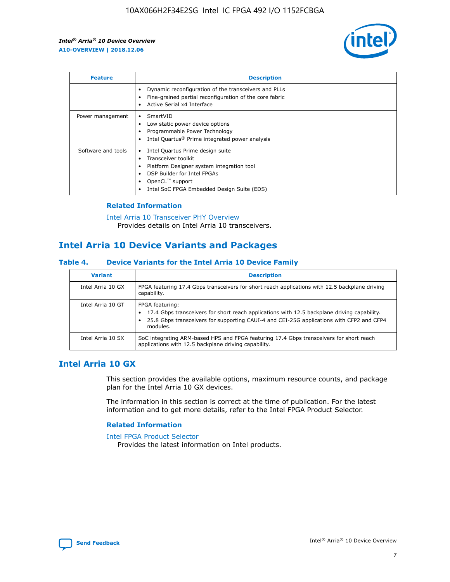

| <b>Feature</b>     | <b>Description</b>                                                                                                                                                                                                            |
|--------------------|-------------------------------------------------------------------------------------------------------------------------------------------------------------------------------------------------------------------------------|
|                    | Dynamic reconfiguration of the transceivers and PLLs<br>Fine-grained partial reconfiguration of the core fabric<br>Active Serial x4 Interface<br>$\bullet$                                                                    |
| Power management   | SmartVID<br>Low static power device options<br>Programmable Power Technology<br>Intel Quartus <sup>®</sup> Prime integrated power analysis                                                                                    |
| Software and tools | Intel Quartus Prime design suite<br>Transceiver toolkit<br>$\bullet$<br>Platform Designer system integration tool<br>DSP Builder for Intel FPGAs<br>OpenCL <sup>™</sup> support<br>Intel SoC FPGA Embedded Design Suite (EDS) |

## **Related Information**

[Intel Arria 10 Transceiver PHY Overview](https://www.intel.com/content/www/us/en/programmable/documentation/nik1398707230472.html#nik1398706768037) Provides details on Intel Arria 10 transceivers.

# **Intel Arria 10 Device Variants and Packages**

#### **Table 4. Device Variants for the Intel Arria 10 Device Family**

| <b>Variant</b>    | <b>Description</b>                                                                                                                                                                                                     |
|-------------------|------------------------------------------------------------------------------------------------------------------------------------------------------------------------------------------------------------------------|
| Intel Arria 10 GX | FPGA featuring 17.4 Gbps transceivers for short reach applications with 12.5 backplane driving<br>capability.                                                                                                          |
| Intel Arria 10 GT | FPGA featuring:<br>17.4 Gbps transceivers for short reach applications with 12.5 backplane driving capability.<br>25.8 Gbps transceivers for supporting CAUI-4 and CEI-25G applications with CFP2 and CFP4<br>modules. |
| Intel Arria 10 SX | SoC integrating ARM-based HPS and FPGA featuring 17.4 Gbps transceivers for short reach<br>applications with 12.5 backplane driving capability.                                                                        |

## **Intel Arria 10 GX**

This section provides the available options, maximum resource counts, and package plan for the Intel Arria 10 GX devices.

The information in this section is correct at the time of publication. For the latest information and to get more details, refer to the Intel FPGA Product Selector.

#### **Related Information**

#### [Intel FPGA Product Selector](http://www.altera.com/products/selector/psg-selector.html) Provides the latest information on Intel products.

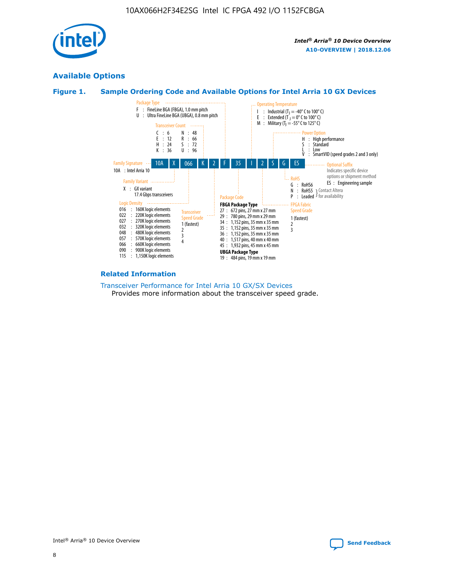

## **Available Options**

## **Figure 1. Sample Ordering Code and Available Options for Intel Arria 10 GX Devices**



#### **Related Information**

#### [Transceiver Performance for Intel Arria 10 GX/SX Devices](https://www.intel.com/content/www/us/en/programmable/documentation/mcn1413182292568.html#mcn1413213965502) Provides more information about the transceiver speed grade.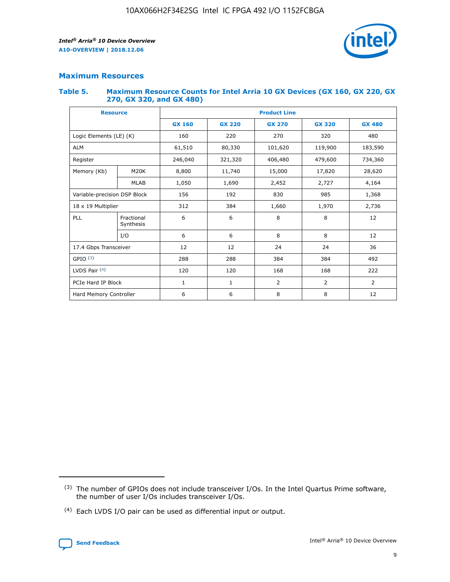

## **Maximum Resources**

#### **Table 5. Maximum Resource Counts for Intel Arria 10 GX Devices (GX 160, GX 220, GX 270, GX 320, and GX 480)**

| <b>Resource</b>              |                         | <b>Product Line</b> |                               |               |                |                |  |  |
|------------------------------|-------------------------|---------------------|-------------------------------|---------------|----------------|----------------|--|--|
|                              |                         | <b>GX 160</b>       | <b>GX 220</b>                 | <b>GX 270</b> | <b>GX 320</b>  | <b>GX 480</b>  |  |  |
| Logic Elements (LE) (K)      |                         | 160                 | 220                           | 270           | 320            | 480            |  |  |
| <b>ALM</b>                   |                         | 61,510              | 80,330                        | 101,620       | 119,900        | 183,590        |  |  |
| Register                     |                         | 246,040             | 406,480<br>479,600<br>321,320 |               |                | 734,360        |  |  |
| Memory (Kb)                  | M <sub>20</sub> K       | 8,800               | 11,740                        | 15,000        | 17,820         | 28,620         |  |  |
|                              | <b>MLAB</b>             | 1,050               | 1,690                         | 2,452         | 2,727          | 4,164          |  |  |
| Variable-precision DSP Block |                         | 156                 | 192                           | 830           | 985            | 1,368          |  |  |
| 18 x 19 Multiplier           |                         | 312                 | 384                           | 1,660         | 1,970          |                |  |  |
| PLL                          | Fractional<br>Synthesis | 6                   | 6                             | 8             | 8              | 12             |  |  |
|                              | I/O                     | 6                   | 6                             | 8             | 8              | 12             |  |  |
| 17.4 Gbps Transceiver        |                         | 12                  | 12                            | 24            | 24             | 36             |  |  |
| GPIO <sup>(3)</sup>          |                         | 288                 | 288                           | 384           | 384            |                |  |  |
| LVDS Pair $(4)$              |                         | 120                 | 120                           | 168           | 168            | 222            |  |  |
| PCIe Hard IP Block           |                         | 1                   | 1                             | 2             | $\overline{2}$ | $\overline{2}$ |  |  |
| Hard Memory Controller       |                         | 6                   | 6                             | 8             | 8              | 12             |  |  |

<sup>(4)</sup> Each LVDS I/O pair can be used as differential input or output.



<sup>(3)</sup> The number of GPIOs does not include transceiver I/Os. In the Intel Quartus Prime software, the number of user I/Os includes transceiver I/Os.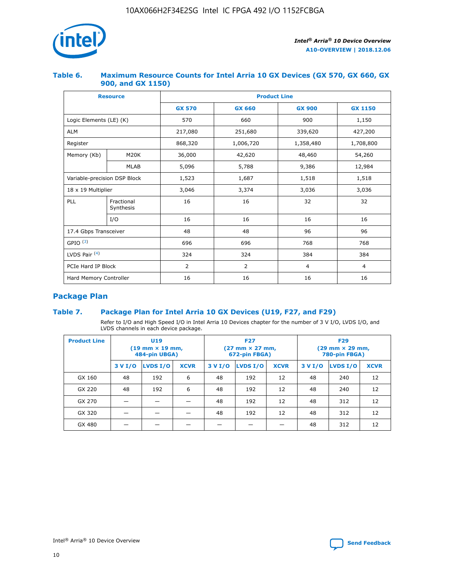

## **Table 6. Maximum Resource Counts for Intel Arria 10 GX Devices (GX 570, GX 660, GX 900, and GX 1150)**

|                              | <b>Resource</b>         | <b>Product Line</b> |               |                |                |  |  |  |
|------------------------------|-------------------------|---------------------|---------------|----------------|----------------|--|--|--|
|                              |                         | <b>GX 570</b>       | <b>GX 660</b> | <b>GX 900</b>  | <b>GX 1150</b> |  |  |  |
| Logic Elements (LE) (K)      |                         | 570                 | 660           | 900            | 1,150          |  |  |  |
| <b>ALM</b>                   |                         | 217,080             | 251,680       | 339,620        | 427,200        |  |  |  |
| Register                     |                         | 868,320             | 1,006,720     |                | 1,708,800      |  |  |  |
| Memory (Kb)                  | <b>M20K</b>             | 36,000              | 42,620        | 48,460         | 54,260         |  |  |  |
|                              | <b>MLAB</b>             | 5,096               | 5,788         | 9,386          | 12,984         |  |  |  |
| Variable-precision DSP Block |                         | 1,523               | 1,687         | 1,518          | 1,518          |  |  |  |
| $18 \times 19$ Multiplier    |                         | 3,046               | 3,374         | 3,036          | 3,036          |  |  |  |
| PLL                          | Fractional<br>Synthesis | 16                  | 16            | 32             | 32             |  |  |  |
|                              | I/O                     | 16                  | 16            | 16             | 16             |  |  |  |
| 17.4 Gbps Transceiver        |                         | 48                  | 48            | 96             |                |  |  |  |
| GPIO <sup>(3)</sup>          |                         | 696                 | 696           | 768            | 768            |  |  |  |
| LVDS Pair $(4)$              |                         | 324                 | 324<br>384    |                | 384            |  |  |  |
| PCIe Hard IP Block           |                         | 2                   | 2             | $\overline{4}$ | $\overline{4}$ |  |  |  |
| Hard Memory Controller       |                         | 16                  | 16            | 16             | 16             |  |  |  |

## **Package Plan**

## **Table 7. Package Plan for Intel Arria 10 GX Devices (U19, F27, and F29)**

Refer to I/O and High Speed I/O in Intel Arria 10 Devices chapter for the number of 3 V I/O, LVDS I/O, and LVDS channels in each device package.

| <b>Product Line</b> | <b>U19</b><br>$(19 \text{ mm} \times 19 \text{ mm})$<br>484-pin UBGA) |          |             | <b>F27</b><br>(27 mm × 27 mm,<br>672-pin FBGA) |                 |             | <b>F29</b><br>(29 mm × 29 mm,<br>780-pin FBGA) |          |             |  |
|---------------------|-----------------------------------------------------------------------|----------|-------------|------------------------------------------------|-----------------|-------------|------------------------------------------------|----------|-------------|--|
|                     | 3 V I/O                                                               | LVDS I/O | <b>XCVR</b> | 3 V I/O                                        | <b>LVDS I/O</b> | <b>XCVR</b> | 3 V I/O                                        | LVDS I/O | <b>XCVR</b> |  |
| GX 160              | 48                                                                    | 192      | 6           | 48                                             | 192             | 12          | 48                                             | 240      | 12          |  |
| GX 220              | 48                                                                    | 192      | 6           | 48                                             | 192             | 12          | 48                                             | 240      | 12          |  |
| GX 270              |                                                                       |          |             | 48                                             | 192             | 12          | 48                                             | 312      | 12          |  |
| GX 320              |                                                                       |          |             | 48                                             | 192             | 12          | 48                                             | 312      | 12          |  |
| GX 480              |                                                                       |          |             |                                                |                 |             | 48                                             | 312      | 12          |  |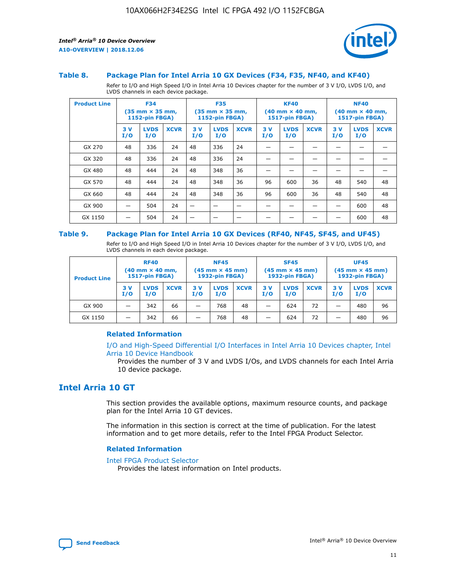

#### **Table 8. Package Plan for Intel Arria 10 GX Devices (F34, F35, NF40, and KF40)**

Refer to I/O and High Speed I/O in Intel Arria 10 Devices chapter for the number of 3 V I/O, LVDS I/O, and LVDS channels in each device package.

| <b>Product Line</b> | <b>F34</b><br>$(35 \text{ mm} \times 35 \text{ mm})$<br><b>1152-pin FBGA)</b> |                    | <b>F35</b><br>$(35 \text{ mm} \times 35 \text{ mm})$<br><b>1152-pin FBGA)</b> |           | <b>KF40</b><br>$(40$ mm $\times$ 40 mm,<br>1517-pin FBGA) |             |           | <b>NF40</b><br>$(40 \text{ mm} \times 40 \text{ mm})$<br>1517-pin FBGA) |             |           |                    |             |
|---------------------|-------------------------------------------------------------------------------|--------------------|-------------------------------------------------------------------------------|-----------|-----------------------------------------------------------|-------------|-----------|-------------------------------------------------------------------------|-------------|-----------|--------------------|-------------|
|                     | 3V<br>I/O                                                                     | <b>LVDS</b><br>I/O | <b>XCVR</b>                                                                   | 3V<br>I/O | <b>LVDS</b><br>I/O                                        | <b>XCVR</b> | 3V<br>I/O | <b>LVDS</b><br>I/O                                                      | <b>XCVR</b> | 3V<br>I/O | <b>LVDS</b><br>I/O | <b>XCVR</b> |
| GX 270              | 48                                                                            | 336                | 24                                                                            | 48        | 336                                                       | 24          |           |                                                                         |             |           |                    |             |
| GX 320              | 48                                                                            | 336                | 24                                                                            | 48        | 336                                                       | 24          |           |                                                                         |             |           |                    |             |
| GX 480              | 48                                                                            | 444                | 24                                                                            | 48        | 348                                                       | 36          |           |                                                                         |             |           |                    |             |
| GX 570              | 48                                                                            | 444                | 24                                                                            | 48        | 348                                                       | 36          | 96        | 600                                                                     | 36          | 48        | 540                | 48          |
| GX 660              | 48                                                                            | 444                | 24                                                                            | 48        | 348                                                       | 36          | 96        | 600                                                                     | 36          | 48        | 540                | 48          |
| GX 900              |                                                                               | 504                | 24                                                                            | —         |                                                           | -           |           |                                                                         |             |           | 600                | 48          |
| GX 1150             |                                                                               | 504                | 24                                                                            |           |                                                           |             |           |                                                                         |             |           | 600                | 48          |

#### **Table 9. Package Plan for Intel Arria 10 GX Devices (RF40, NF45, SF45, and UF45)**

Refer to I/O and High Speed I/O in Intel Arria 10 Devices chapter for the number of 3 V I/O, LVDS I/O, and LVDS channels in each device package.

| <b>Product Line</b> | <b>RF40</b><br>$(40 \text{ mm} \times 40 \text{ mm})$<br>1517-pin FBGA) |                    |             | <b>NF45</b><br>$(45 \text{ mm} \times 45 \text{ mm})$<br><b>1932-pin FBGA)</b> |                    |             | <b>SF45</b><br>$(45 \text{ mm} \times 45 \text{ mm})$<br><b>1932-pin FBGA)</b> |                    |             | <b>UF45</b><br>$(45 \text{ mm} \times 45 \text{ mm})$<br><b>1932-pin FBGA)</b> |                    |             |
|---------------------|-------------------------------------------------------------------------|--------------------|-------------|--------------------------------------------------------------------------------|--------------------|-------------|--------------------------------------------------------------------------------|--------------------|-------------|--------------------------------------------------------------------------------|--------------------|-------------|
|                     | 3V<br>I/O                                                               | <b>LVDS</b><br>I/O | <b>XCVR</b> | 3V<br>I/O                                                                      | <b>LVDS</b><br>I/O | <b>XCVR</b> | 3V<br>I/O                                                                      | <b>LVDS</b><br>I/O | <b>XCVR</b> | 3V<br>I/O                                                                      | <b>LVDS</b><br>I/O | <b>XCVR</b> |
| GX 900              |                                                                         | 342                | 66          | -                                                                              | 768                | 48          | _                                                                              | 624                | 72          |                                                                                | 480                | 96          |
| GX 1150             |                                                                         | 342                | 66          | -                                                                              | 768                | 48          | -                                                                              | 624                | 72          |                                                                                | 480                | 96          |

#### **Related Information**

[I/O and High-Speed Differential I/O Interfaces in Intel Arria 10 Devices chapter, Intel](https://www.intel.com/content/www/us/en/programmable/documentation/sam1403482614086.html#sam1403482030321) [Arria 10 Device Handbook](https://www.intel.com/content/www/us/en/programmable/documentation/sam1403482614086.html#sam1403482030321)

Provides the number of 3 V and LVDS I/Os, and LVDS channels for each Intel Arria 10 device package.

## **Intel Arria 10 GT**

This section provides the available options, maximum resource counts, and package plan for the Intel Arria 10 GT devices.

The information in this section is correct at the time of publication. For the latest information and to get more details, refer to the Intel FPGA Product Selector.

#### **Related Information**

#### [Intel FPGA Product Selector](http://www.altera.com/products/selector/psg-selector.html)

Provides the latest information on Intel products.

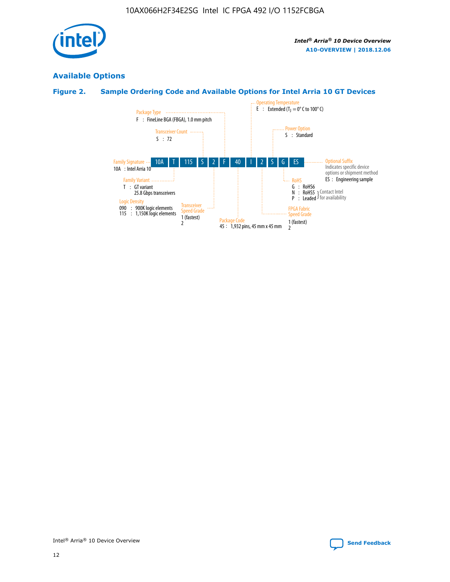

## **Available Options**

## **Figure 2. Sample Ordering Code and Available Options for Intel Arria 10 GT Devices**

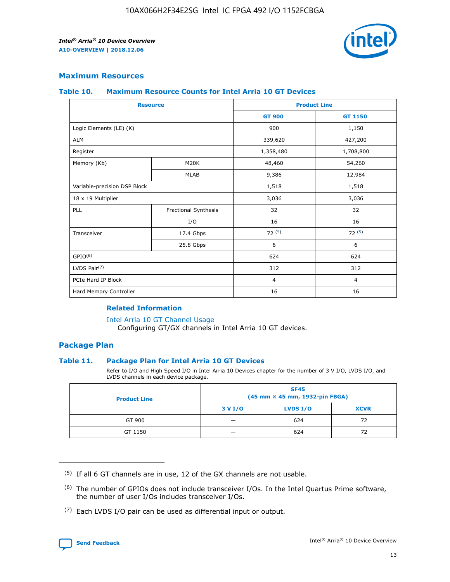

## **Maximum Resources**

#### **Table 10. Maximum Resource Counts for Intel Arria 10 GT Devices**

| <b>Resource</b>              |                      | <b>Product Line</b> |                |  |
|------------------------------|----------------------|---------------------|----------------|--|
|                              |                      | <b>GT 900</b>       | <b>GT 1150</b> |  |
| Logic Elements (LE) (K)      |                      | 900                 | 1,150          |  |
| <b>ALM</b>                   |                      | 339,620             | 427,200        |  |
| Register                     |                      | 1,358,480           | 1,708,800      |  |
| Memory (Kb)                  | M20K                 | 48,460              | 54,260         |  |
|                              | <b>MLAB</b>          | 9,386               | 12,984         |  |
| Variable-precision DSP Block |                      | 1,518               | 1,518          |  |
| 18 x 19 Multiplier           |                      | 3,036               | 3,036          |  |
| PLL                          | Fractional Synthesis | 32                  | 32             |  |
|                              | I/O                  | 16                  | 16             |  |
| Transceiver                  | 17.4 Gbps            | 72(5)               | 72(5)          |  |
|                              | 25.8 Gbps            | 6                   | 6              |  |
| GPIO <sup>(6)</sup>          |                      | 624                 | 624            |  |
| LVDS Pair $(7)$              |                      | 312                 | 312            |  |
| PCIe Hard IP Block           |                      | $\overline{4}$      | $\overline{4}$ |  |
| Hard Memory Controller       |                      | 16                  | 16             |  |

### **Related Information**

#### [Intel Arria 10 GT Channel Usage](https://www.intel.com/content/www/us/en/programmable/documentation/nik1398707230472.html#nik1398707008178)

Configuring GT/GX channels in Intel Arria 10 GT devices.

## **Package Plan**

#### **Table 11. Package Plan for Intel Arria 10 GT Devices**

Refer to I/O and High Speed I/O in Intel Arria 10 Devices chapter for the number of 3 V I/O, LVDS I/O, and LVDS channels in each device package.

| <b>Product Line</b> | <b>SF45</b><br>(45 mm × 45 mm, 1932-pin FBGA) |                 |             |  |  |  |
|---------------------|-----------------------------------------------|-----------------|-------------|--|--|--|
|                     | 3 V I/O                                       | <b>LVDS I/O</b> | <b>XCVR</b> |  |  |  |
| GT 900              |                                               | 624             | 72          |  |  |  |
| GT 1150             |                                               | 624             | 72          |  |  |  |

<sup>(7)</sup> Each LVDS I/O pair can be used as differential input or output.



 $(5)$  If all 6 GT channels are in use, 12 of the GX channels are not usable.

<sup>(6)</sup> The number of GPIOs does not include transceiver I/Os. In the Intel Quartus Prime software, the number of user I/Os includes transceiver I/Os.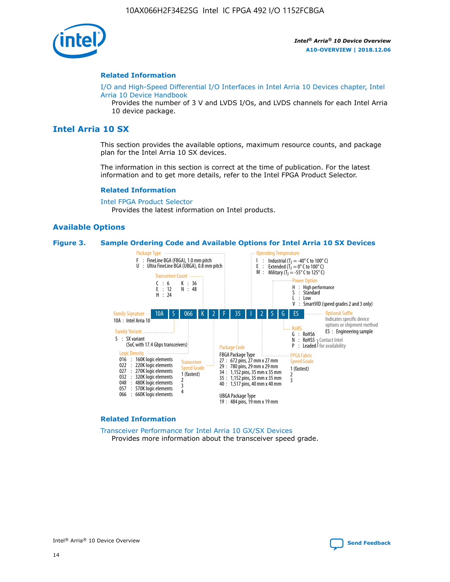

#### **Related Information**

[I/O and High-Speed Differential I/O Interfaces in Intel Arria 10 Devices chapter, Intel](https://www.intel.com/content/www/us/en/programmable/documentation/sam1403482614086.html#sam1403482030321) [Arria 10 Device Handbook](https://www.intel.com/content/www/us/en/programmable/documentation/sam1403482614086.html#sam1403482030321)

Provides the number of 3 V and LVDS I/Os, and LVDS channels for each Intel Arria 10 device package.

## **Intel Arria 10 SX**

This section provides the available options, maximum resource counts, and package plan for the Intel Arria 10 SX devices.

The information in this section is correct at the time of publication. For the latest information and to get more details, refer to the Intel FPGA Product Selector.

#### **Related Information**

[Intel FPGA Product Selector](http://www.altera.com/products/selector/psg-selector.html) Provides the latest information on Intel products.

#### **Available Options**

#### **Figure 3. Sample Ordering Code and Available Options for Intel Arria 10 SX Devices**



#### **Related Information**

[Transceiver Performance for Intel Arria 10 GX/SX Devices](https://www.intel.com/content/www/us/en/programmable/documentation/mcn1413182292568.html#mcn1413213965502) Provides more information about the transceiver speed grade.

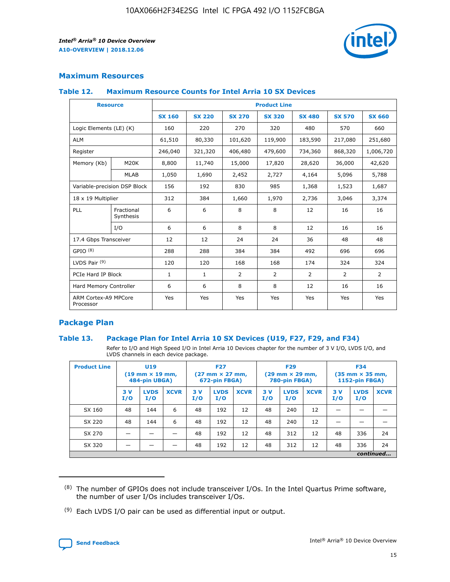

## **Maximum Resources**

#### **Table 12. Maximum Resource Counts for Intel Arria 10 SX Devices**

| <b>Resource</b>                   |                         | <b>Product Line</b> |               |                |                |                |                |                |  |  |  |
|-----------------------------------|-------------------------|---------------------|---------------|----------------|----------------|----------------|----------------|----------------|--|--|--|
|                                   |                         | <b>SX 160</b>       | <b>SX 220</b> | <b>SX 270</b>  | <b>SX 320</b>  | <b>SX 480</b>  | <b>SX 570</b>  | <b>SX 660</b>  |  |  |  |
| Logic Elements (LE) (K)           |                         | 160                 | 220           | 270            | 320            | 480            | 570            | 660            |  |  |  |
| <b>ALM</b>                        |                         | 61,510              | 80,330        | 101,620        | 119,900        | 183,590        | 217,080        | 251,680        |  |  |  |
| Register                          |                         | 246,040             | 321,320       | 406,480        | 479,600        | 734,360        | 868,320        | 1,006,720      |  |  |  |
| Memory (Kb)                       | <b>M20K</b>             | 8,800               | 11,740        | 15,000         | 17,820         | 28,620         | 36,000         | 42,620         |  |  |  |
|                                   | <b>MLAB</b>             | 1,050               | 1,690         | 2,452          | 2,727          | 4,164          | 5,096          | 5,788          |  |  |  |
| Variable-precision DSP Block      |                         | 156                 | 192           | 830            | 985            | 1,368          | 1,523          | 1,687          |  |  |  |
| 18 x 19 Multiplier                |                         | 312                 | 384           | 1,660          | 1,970          | 2,736          | 3,046          | 3,374          |  |  |  |
| PLL                               | Fractional<br>Synthesis | 6                   | 6             | 8              | 8              | 12             | 16             | 16             |  |  |  |
|                                   | I/O                     | 6                   | 6             | 8              | 8              | 12             | 16             | 16             |  |  |  |
| 17.4 Gbps Transceiver             |                         | 12                  | 12            | 24             | 24             | 36             | 48             | 48             |  |  |  |
| GPIO <sup>(8)</sup>               |                         | 288                 | 288           | 384            | 384            | 492            | 696            | 696            |  |  |  |
| LVDS Pair $(9)$                   |                         | 120                 | 120           | 168            | 168            | 174            | 324            | 324            |  |  |  |
| PCIe Hard IP Block                |                         | $\mathbf{1}$        | $\mathbf{1}$  | $\overline{2}$ | $\overline{2}$ | $\overline{2}$ | $\overline{2}$ | $\overline{2}$ |  |  |  |
| Hard Memory Controller            |                         | 6                   | 6             | 8              | 8              | 12             | 16             | 16             |  |  |  |
| ARM Cortex-A9 MPCore<br>Processor |                         | Yes                 | Yes           | Yes            | Yes            | Yes            | Yes            | <b>Yes</b>     |  |  |  |

## **Package Plan**

#### **Table 13. Package Plan for Intel Arria 10 SX Devices (U19, F27, F29, and F34)**

Refer to I/O and High Speed I/O in Intel Arria 10 Devices chapter for the number of 3 V I/O, LVDS I/O, and LVDS channels in each device package.

| <b>Product Line</b> | U19<br>$(19 \text{ mm} \times 19 \text{ mm})$<br>484-pin UBGA) |                    | <b>F27</b><br>$(27 \text{ mm} \times 27 \text{ mm})$<br>672-pin FBGA) |           | <b>F29</b><br>$(29 \text{ mm} \times 29 \text{ mm})$<br>780-pin FBGA) |             |            | <b>F34</b><br>$(35 \text{ mm} \times 35 \text{ mm})$<br><b>1152-pin FBGA)</b> |             |           |                    |             |
|---------------------|----------------------------------------------------------------|--------------------|-----------------------------------------------------------------------|-----------|-----------------------------------------------------------------------|-------------|------------|-------------------------------------------------------------------------------|-------------|-----------|--------------------|-------------|
|                     | 3V<br>I/O                                                      | <b>LVDS</b><br>I/O | <b>XCVR</b>                                                           | 3V<br>I/O | <b>LVDS</b><br>I/O                                                    | <b>XCVR</b> | 3 V<br>I/O | <b>LVDS</b><br>I/O                                                            | <b>XCVR</b> | 3V<br>I/O | <b>LVDS</b><br>I/O | <b>XCVR</b> |
| SX 160              | 48                                                             | 144                | 6                                                                     | 48        | 192                                                                   | 12          | 48         | 240                                                                           | 12          | –         |                    |             |
| SX 220              | 48                                                             | 144                | 6                                                                     | 48        | 192                                                                   | 12          | 48         | 240                                                                           | 12          |           |                    |             |
| SX 270              |                                                                |                    |                                                                       | 48        | 192                                                                   | 12          | 48         | 312                                                                           | 12          | 48        | 336                | 24          |
| SX 320              |                                                                |                    |                                                                       | 48        | 192                                                                   | 12          | 48         | 312                                                                           | 12          | 48        | 336                | 24          |
|                     | continued                                                      |                    |                                                                       |           |                                                                       |             |            |                                                                               |             |           |                    |             |

 $(8)$  The number of GPIOs does not include transceiver I/Os. In the Intel Quartus Prime software, the number of user I/Os includes transceiver I/Os.

 $(9)$  Each LVDS I/O pair can be used as differential input or output.

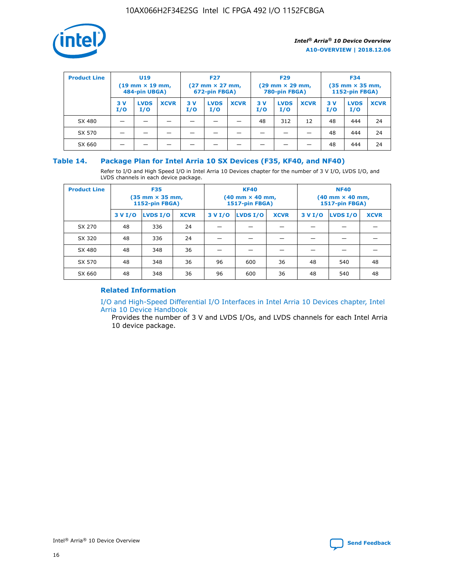

| <b>Product Line</b> | U <sub>19</sub><br>$(19 \text{ mm} \times 19 \text{ mm})$<br>484-pin UBGA) |                    | <b>F27</b><br>$(27 \text{ mm} \times 27 \text{ mm})$<br>672-pin FBGA) |           | <b>F29</b><br>$(29 \text{ mm} \times 29 \text{ mm})$<br>780-pin FBGA) |             |           | <b>F34</b><br>$(35$ mm $\times$ 35 mm,<br><b>1152-pin FBGA)</b> |             |           |                    |             |
|---------------------|----------------------------------------------------------------------------|--------------------|-----------------------------------------------------------------------|-----------|-----------------------------------------------------------------------|-------------|-----------|-----------------------------------------------------------------|-------------|-----------|--------------------|-------------|
|                     | 3V<br>I/O                                                                  | <b>LVDS</b><br>I/O | <b>XCVR</b>                                                           | 3V<br>I/O | <b>LVDS</b><br>I/O                                                    | <b>XCVR</b> | 3V<br>I/O | <b>LVDS</b><br>I/O                                              | <b>XCVR</b> | 3V<br>I/O | <b>LVDS</b><br>I/O | <b>XCVR</b> |
| SX 480              |                                                                            |                    |                                                                       |           |                                                                       |             | 48        | 312                                                             | 12          | 48        | 444                | 24          |
| SX 570              |                                                                            |                    |                                                                       |           |                                                                       |             |           |                                                                 |             | 48        | 444                | 24          |
| SX 660              |                                                                            |                    |                                                                       |           |                                                                       |             |           |                                                                 |             | 48        | 444                | 24          |

## **Table 14. Package Plan for Intel Arria 10 SX Devices (F35, KF40, and NF40)**

Refer to I/O and High Speed I/O in Intel Arria 10 Devices chapter for the number of 3 V I/O, LVDS I/O, and LVDS channels in each device package.

| <b>Product Line</b> | <b>F35</b><br>$(35 \text{ mm} \times 35 \text{ mm})$<br><b>1152-pin FBGA)</b> |          |             |                                           | <b>KF40</b><br>(40 mm × 40 mm,<br>1517-pin FBGA) |    | <b>NF40</b><br>$(40 \text{ mm} \times 40 \text{ mm})$<br>1517-pin FBGA) |          |             |  |
|---------------------|-------------------------------------------------------------------------------|----------|-------------|-------------------------------------------|--------------------------------------------------|----|-------------------------------------------------------------------------|----------|-------------|--|
|                     | 3 V I/O                                                                       | LVDS I/O | <b>XCVR</b> | <b>LVDS I/O</b><br><b>XCVR</b><br>3 V I/O |                                                  |    | 3 V I/O                                                                 | LVDS I/O | <b>XCVR</b> |  |
| SX 270              | 48                                                                            | 336      | 24          |                                           |                                                  |    |                                                                         |          |             |  |
| SX 320              | 48                                                                            | 336      | 24          |                                           |                                                  |    |                                                                         |          |             |  |
| SX 480              | 48                                                                            | 348      | 36          |                                           |                                                  |    |                                                                         |          |             |  |
| SX 570              | 48                                                                            | 348      | 36          | 96                                        | 600                                              | 36 | 48                                                                      | 540      | 48          |  |
| SX 660              | 48                                                                            | 348      | 36          | 96                                        | 600                                              | 36 | 48                                                                      | 540      | 48          |  |

## **Related Information**

[I/O and High-Speed Differential I/O Interfaces in Intel Arria 10 Devices chapter, Intel](https://www.intel.com/content/www/us/en/programmable/documentation/sam1403482614086.html#sam1403482030321) [Arria 10 Device Handbook](https://www.intel.com/content/www/us/en/programmable/documentation/sam1403482614086.html#sam1403482030321)

Provides the number of 3 V and LVDS I/Os, and LVDS channels for each Intel Arria 10 device package.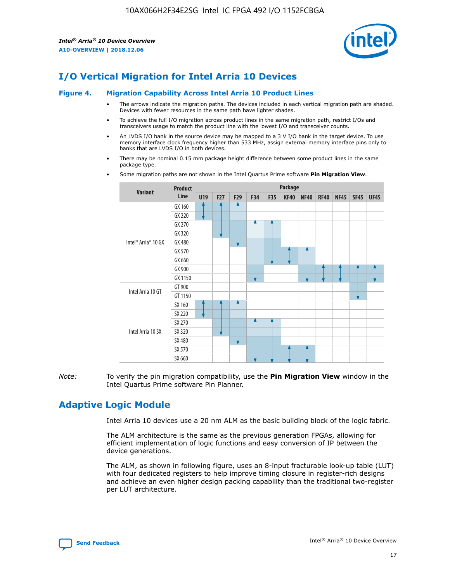

# **I/O Vertical Migration for Intel Arria 10 Devices**

#### **Figure 4. Migration Capability Across Intel Arria 10 Product Lines**

- The arrows indicate the migration paths. The devices included in each vertical migration path are shaded. Devices with fewer resources in the same path have lighter shades.
- To achieve the full I/O migration across product lines in the same migration path, restrict I/Os and transceivers usage to match the product line with the lowest I/O and transceiver counts.
- An LVDS I/O bank in the source device may be mapped to a 3 V I/O bank in the target device. To use memory interface clock frequency higher than 533 MHz, assign external memory interface pins only to banks that are LVDS I/O in both devices.
- There may be nominal 0.15 mm package height difference between some product lines in the same package type.
	- **Variant Product Line Package U19 F27 F29 F34 F35 KF40 NF40 RF40 NF45 SF45 UF45** Intel® Arria® 10 GX GX 160 GX 220 GX 270 GX 320 GX 480 GX 570 GX 660 GX 900 GX 1150 Intel Arria 10 GT GT 900 GT 1150 Intel Arria 10 SX SX 160 SX 220 SX 270 SX 320 SX 480 SX 570 SX 660
- Some migration paths are not shown in the Intel Quartus Prime software **Pin Migration View**.

*Note:* To verify the pin migration compatibility, use the **Pin Migration View** window in the Intel Quartus Prime software Pin Planner.

# **Adaptive Logic Module**

Intel Arria 10 devices use a 20 nm ALM as the basic building block of the logic fabric.

The ALM architecture is the same as the previous generation FPGAs, allowing for efficient implementation of logic functions and easy conversion of IP between the device generations.

The ALM, as shown in following figure, uses an 8-input fracturable look-up table (LUT) with four dedicated registers to help improve timing closure in register-rich designs and achieve an even higher design packing capability than the traditional two-register per LUT architecture.

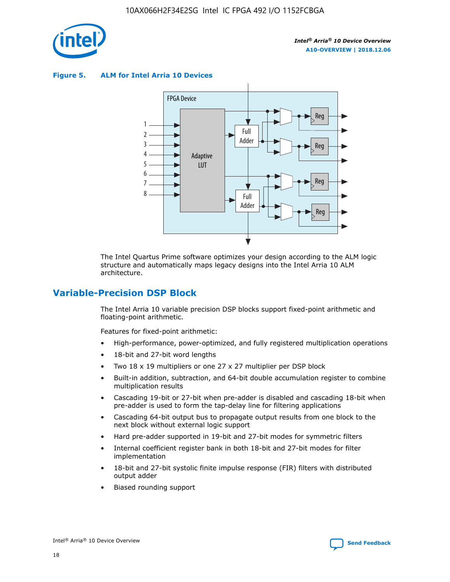

**Figure 5. ALM for Intel Arria 10 Devices**



The Intel Quartus Prime software optimizes your design according to the ALM logic structure and automatically maps legacy designs into the Intel Arria 10 ALM architecture.

## **Variable-Precision DSP Block**

The Intel Arria 10 variable precision DSP blocks support fixed-point arithmetic and floating-point arithmetic.

Features for fixed-point arithmetic:

- High-performance, power-optimized, and fully registered multiplication operations
- 18-bit and 27-bit word lengths
- Two 18 x 19 multipliers or one 27 x 27 multiplier per DSP block
- Built-in addition, subtraction, and 64-bit double accumulation register to combine multiplication results
- Cascading 19-bit or 27-bit when pre-adder is disabled and cascading 18-bit when pre-adder is used to form the tap-delay line for filtering applications
- Cascading 64-bit output bus to propagate output results from one block to the next block without external logic support
- Hard pre-adder supported in 19-bit and 27-bit modes for symmetric filters
- Internal coefficient register bank in both 18-bit and 27-bit modes for filter implementation
- 18-bit and 27-bit systolic finite impulse response (FIR) filters with distributed output adder
- Biased rounding support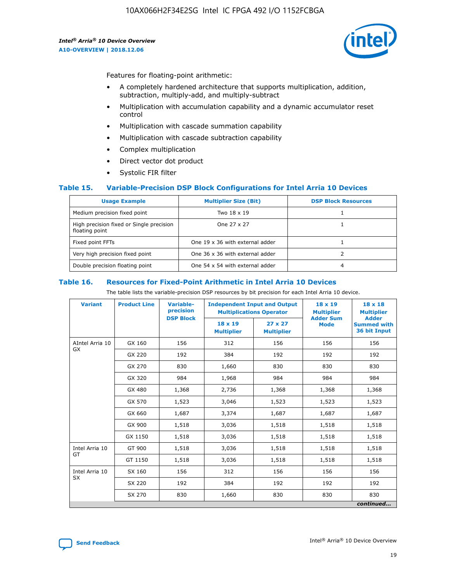

Features for floating-point arithmetic:

- A completely hardened architecture that supports multiplication, addition, subtraction, multiply-add, and multiply-subtract
- Multiplication with accumulation capability and a dynamic accumulator reset control
- Multiplication with cascade summation capability
- Multiplication with cascade subtraction capability
- Complex multiplication
- Direct vector dot product
- Systolic FIR filter

#### **Table 15. Variable-Precision DSP Block Configurations for Intel Arria 10 Devices**

| <b>Usage Example</b>                                       | <b>Multiplier Size (Bit)</b>    | <b>DSP Block Resources</b> |
|------------------------------------------------------------|---------------------------------|----------------------------|
| Medium precision fixed point                               | Two 18 x 19                     |                            |
| High precision fixed or Single precision<br>floating point | One 27 x 27                     |                            |
| Fixed point FFTs                                           | One 19 x 36 with external adder |                            |
| Very high precision fixed point                            | One 36 x 36 with external adder |                            |
| Double precision floating point                            | One 54 x 54 with external adder | 4                          |

#### **Table 16. Resources for Fixed-Point Arithmetic in Intel Arria 10 Devices**

The table lists the variable-precision DSP resources by bit precision for each Intel Arria 10 device.

| <b>Variant</b>  | <b>Product Line</b> | Variable-<br>precision | <b>Independent Input and Output</b><br><b>Multiplications Operator</b> |                                     | $18 \times 19$<br><b>Multiplier</b><br><b>Adder Sum</b> | $18 \times 18$<br><b>Multiplier</b>                |
|-----------------|---------------------|------------------------|------------------------------------------------------------------------|-------------------------------------|---------------------------------------------------------|----------------------------------------------------|
|                 |                     | <b>DSP Block</b>       | $18 \times 19$<br><b>Multiplier</b>                                    | $27 \times 27$<br><b>Multiplier</b> | <b>Mode</b>                                             | <b>Adder</b><br><b>Summed with</b><br>36 bit Input |
| AIntel Arria 10 | GX 160              | 156                    | 312                                                                    | 156                                 | 156                                                     | 156                                                |
| <b>GX</b>       | GX 220              | 192                    | 384                                                                    | 192                                 | 192                                                     | 192                                                |
|                 | GX 270              | 830                    | 1,660                                                                  | 830                                 | 830                                                     | 830                                                |
|                 | GX 320              | 984                    | 1,968                                                                  | 984                                 | 984                                                     | 984                                                |
|                 | GX 480              | 1,368                  | 2,736                                                                  | 1,368                               | 1,368                                                   | 1,368                                              |
|                 | GX 570              | 1,523                  | 3,046                                                                  | 1,523                               | 1,523                                                   | 1,523                                              |
|                 | GX 660              | 1,687                  | 3,374                                                                  | 1,687                               | 1,687                                                   | 1,687                                              |
|                 | GX 900              | 1,518                  | 3,036                                                                  | 1,518                               | 1,518                                                   | 1,518                                              |
|                 | GX 1150             | 1,518                  | 3,036                                                                  | 1,518                               | 1,518                                                   | 1,518                                              |
| Intel Arria 10  | GT 900              | 1,518                  | 3,036                                                                  | 1,518                               | 1,518                                                   | 1,518                                              |
| GT              | GT 1150             | 1,518                  | 3,036                                                                  | 1,518                               | 1,518                                                   | 1,518                                              |
| Intel Arria 10  | SX 160              | 156                    | 312                                                                    | 156                                 | 156                                                     | 156                                                |
| <b>SX</b>       | SX 220              | 192                    | 384                                                                    | 192                                 | 192                                                     | 192                                                |
|                 | SX 270              | 830                    | 1,660                                                                  | 830                                 | 830                                                     | 830                                                |
|                 |                     |                        |                                                                        |                                     |                                                         | continued                                          |

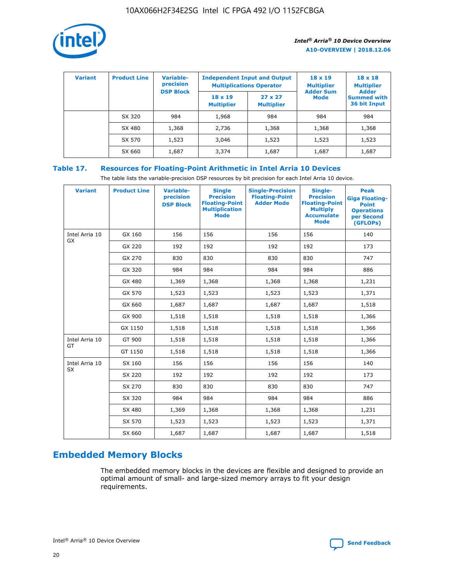

| <b>Variant</b> | <b>Product Line</b> | Variable-<br>precision | <b>Independent Input and Output</b><br><b>Multiplications Operator</b> |                                     | $18 \times 19$<br><b>Multiplier</b> | $18 \times 18$<br><b>Multiplier</b><br><b>Adder</b> |  |
|----------------|---------------------|------------------------|------------------------------------------------------------------------|-------------------------------------|-------------------------------------|-----------------------------------------------------|--|
|                |                     | <b>DSP Block</b>       | $18 \times 19$<br><b>Multiplier</b>                                    | $27 \times 27$<br><b>Multiplier</b> | <b>Adder Sum</b><br><b>Mode</b>     | <b>Summed with</b><br>36 bit Input                  |  |
|                | SX 320              | 984                    | 1,968                                                                  | 984                                 | 984                                 | 984                                                 |  |
|                | SX 480              | 1,368                  | 2,736                                                                  | 1,368                               | 1,368                               | 1,368                                               |  |
|                | SX 570              | 1,523                  | 3,046                                                                  | 1,523                               | 1,523                               | 1,523                                               |  |
|                | SX 660              | 1,687                  | 3,374                                                                  | 1,687                               | 1,687                               | 1,687                                               |  |

## **Table 17. Resources for Floating-Point Arithmetic in Intel Arria 10 Devices**

The table lists the variable-precision DSP resources by bit precision for each Intel Arria 10 device.

| <b>Variant</b> | <b>Product Line</b> | <b>Variable-</b><br>precision<br><b>DSP Block</b> | <b>Single</b><br><b>Precision</b><br><b>Floating-Point</b><br><b>Multiplication</b><br><b>Mode</b> | <b>Single-Precision</b><br><b>Floating-Point</b><br><b>Adder Mode</b> | Single-<br><b>Precision</b><br><b>Floating-Point</b><br><b>Multiply</b><br><b>Accumulate</b><br><b>Mode</b> | <b>Peak</b><br><b>Giga Floating-</b><br><b>Point</b><br><b>Operations</b><br>per Second<br>(GFLOPs) |
|----------------|---------------------|---------------------------------------------------|----------------------------------------------------------------------------------------------------|-----------------------------------------------------------------------|-------------------------------------------------------------------------------------------------------------|-----------------------------------------------------------------------------------------------------|
| Intel Arria 10 | GX 160              | 156                                               | 156                                                                                                | 156                                                                   | 156                                                                                                         | 140                                                                                                 |
| GX             | GX 220              | 192                                               | 192                                                                                                | 192                                                                   | 192                                                                                                         | 173                                                                                                 |
|                | GX 270              | 830                                               | 830                                                                                                | 830                                                                   | 830                                                                                                         | 747                                                                                                 |
|                | GX 320              | 984                                               | 984                                                                                                | 984                                                                   | 984                                                                                                         | 886                                                                                                 |
|                | GX 480              | 1,369                                             | 1,368                                                                                              | 1,368                                                                 | 1,368                                                                                                       | 1,231                                                                                               |
|                | GX 570              | 1,523                                             | 1,523                                                                                              | 1,523                                                                 | 1,523                                                                                                       | 1,371                                                                                               |
|                | GX 660              | 1,687                                             | 1,687                                                                                              | 1,687                                                                 | 1,687                                                                                                       | 1,518                                                                                               |
|                | GX 900              | 1,518                                             | 1,518                                                                                              | 1,518                                                                 | 1,518                                                                                                       | 1,366                                                                                               |
|                | GX 1150             | 1,518                                             | 1,518                                                                                              | 1,518                                                                 | 1,518                                                                                                       | 1,366                                                                                               |
| Intel Arria 10 | GT 900              | 1,518                                             | 1,518                                                                                              | 1,518                                                                 | 1,518                                                                                                       | 1,366                                                                                               |
| GT             | GT 1150             | 1,518                                             | 1,518                                                                                              | 1,518                                                                 | 1,518                                                                                                       | 1,366                                                                                               |
| Intel Arria 10 | SX 160              | 156                                               | 156                                                                                                | 156                                                                   | 156                                                                                                         | 140                                                                                                 |
| <b>SX</b>      | SX 220              | 192                                               | 192                                                                                                | 192                                                                   | 192                                                                                                         | 173                                                                                                 |
|                | SX 270              | 830                                               | 830                                                                                                | 830                                                                   | 830                                                                                                         | 747                                                                                                 |
|                | SX 320              | 984                                               | 984                                                                                                | 984                                                                   | 984                                                                                                         | 886                                                                                                 |
|                | SX 480              | 1,369                                             | 1,368                                                                                              | 1,368                                                                 | 1,368                                                                                                       | 1,231                                                                                               |
|                | SX 570              | 1,523                                             | 1,523                                                                                              | 1,523                                                                 | 1,523                                                                                                       | 1,371                                                                                               |
|                | SX 660              | 1,687                                             | 1,687                                                                                              | 1,687                                                                 | 1,687                                                                                                       | 1,518                                                                                               |

# **Embedded Memory Blocks**

The embedded memory blocks in the devices are flexible and designed to provide an optimal amount of small- and large-sized memory arrays to fit your design requirements.

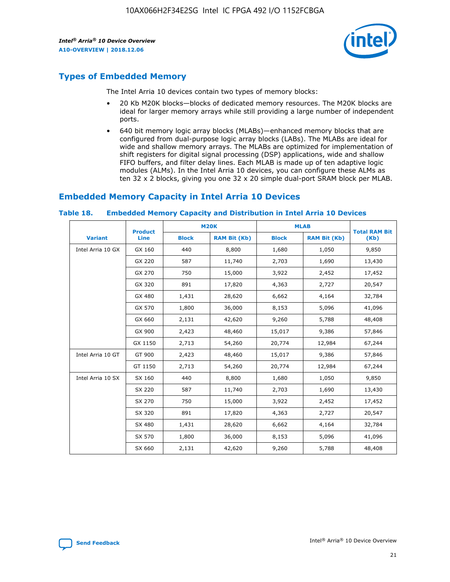

# **Types of Embedded Memory**

The Intel Arria 10 devices contain two types of memory blocks:

- 20 Kb M20K blocks—blocks of dedicated memory resources. The M20K blocks are ideal for larger memory arrays while still providing a large number of independent ports.
- 640 bit memory logic array blocks (MLABs)—enhanced memory blocks that are configured from dual-purpose logic array blocks (LABs). The MLABs are ideal for wide and shallow memory arrays. The MLABs are optimized for implementation of shift registers for digital signal processing (DSP) applications, wide and shallow FIFO buffers, and filter delay lines. Each MLAB is made up of ten adaptive logic modules (ALMs). In the Intel Arria 10 devices, you can configure these ALMs as ten 32 x 2 blocks, giving you one 32 x 20 simple dual-port SRAM block per MLAB.

## **Embedded Memory Capacity in Intel Arria 10 Devices**

|                   | <b>Product</b> |              | <b>M20K</b>         | <b>MLAB</b>  |                     | <b>Total RAM Bit</b> |
|-------------------|----------------|--------------|---------------------|--------------|---------------------|----------------------|
| <b>Variant</b>    | Line           | <b>Block</b> | <b>RAM Bit (Kb)</b> | <b>Block</b> | <b>RAM Bit (Kb)</b> | (Kb)                 |
| Intel Arria 10 GX | GX 160         | 440          | 8,800               | 1,680        | 1,050               | 9,850                |
|                   | GX 220         | 587          | 11,740              | 2,703        | 1,690               | 13,430               |
|                   | GX 270         | 750          | 15,000              | 3,922        | 2,452               | 17,452               |
|                   | GX 320         | 891          | 17,820              | 4,363        | 2,727               | 20,547               |
|                   | GX 480         | 1,431        | 28,620              | 6,662        | 4,164               | 32,784               |
|                   | GX 570         | 1,800        | 36,000              | 8,153        | 5,096               | 41,096               |
|                   | GX 660         | 2,131        | 42,620              | 9,260        | 5,788               | 48,408               |
|                   | GX 900         | 2,423        | 48,460              | 15,017       | 9,386               | 57,846               |
|                   | GX 1150        | 2,713        | 54,260              | 20,774       | 12,984              | 67,244               |
| Intel Arria 10 GT | GT 900         | 2,423        | 48,460              | 15,017       | 9,386               | 57,846               |
|                   | GT 1150        | 2,713        | 54,260              | 20,774       | 12,984              | 67,244               |
| Intel Arria 10 SX | SX 160         | 440          | 8,800               | 1,680        | 1,050               | 9,850                |
|                   | SX 220         | 587          | 11,740              | 2,703        | 1,690               | 13,430               |
|                   | SX 270         | 750          | 15,000              | 3,922        | 2,452               | 17,452               |
|                   | SX 320         | 891          | 17,820              | 4,363        | 2,727               | 20,547               |
|                   | SX 480         | 1,431        | 28,620              | 6,662        | 4,164               | 32,784               |
|                   | SX 570         | 1,800        | 36,000              | 8,153        | 5,096               | 41,096               |
|                   | SX 660         | 2,131        | 42,620              | 9,260        | 5,788               | 48,408               |

#### **Table 18. Embedded Memory Capacity and Distribution in Intel Arria 10 Devices**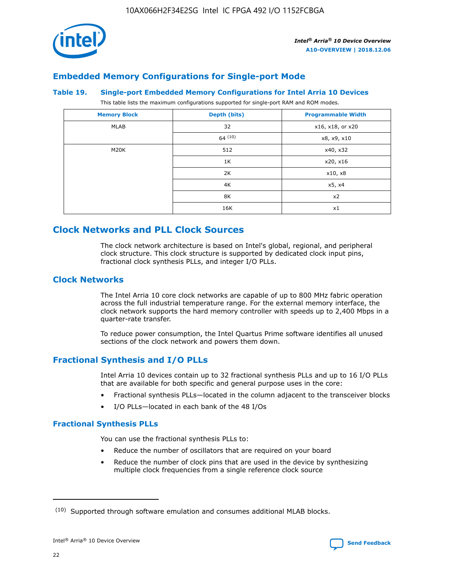

## **Embedded Memory Configurations for Single-port Mode**

#### **Table 19. Single-port Embedded Memory Configurations for Intel Arria 10 Devices**

This table lists the maximum configurations supported for single-port RAM and ROM modes.

| <b>Memory Block</b> | Depth (bits) | <b>Programmable Width</b> |
|---------------------|--------------|---------------------------|
| MLAB                | 32           | x16, x18, or x20          |
|                     | 64(10)       | x8, x9, x10               |
| M20K                | 512          | x40, x32                  |
|                     | 1K           | x20, x16                  |
|                     | 2K           | x10, x8                   |
|                     | 4K           | x5, x4                    |
|                     | 8K           | x2                        |
|                     | 16K          | x1                        |

# **Clock Networks and PLL Clock Sources**

The clock network architecture is based on Intel's global, regional, and peripheral clock structure. This clock structure is supported by dedicated clock input pins, fractional clock synthesis PLLs, and integer I/O PLLs.

## **Clock Networks**

The Intel Arria 10 core clock networks are capable of up to 800 MHz fabric operation across the full industrial temperature range. For the external memory interface, the clock network supports the hard memory controller with speeds up to 2,400 Mbps in a quarter-rate transfer.

To reduce power consumption, the Intel Quartus Prime software identifies all unused sections of the clock network and powers them down.

## **Fractional Synthesis and I/O PLLs**

Intel Arria 10 devices contain up to 32 fractional synthesis PLLs and up to 16 I/O PLLs that are available for both specific and general purpose uses in the core:

- Fractional synthesis PLLs—located in the column adjacent to the transceiver blocks
- I/O PLLs—located in each bank of the 48 I/Os

## **Fractional Synthesis PLLs**

You can use the fractional synthesis PLLs to:

- Reduce the number of oscillators that are required on your board
- Reduce the number of clock pins that are used in the device by synthesizing multiple clock frequencies from a single reference clock source

<sup>(10)</sup> Supported through software emulation and consumes additional MLAB blocks.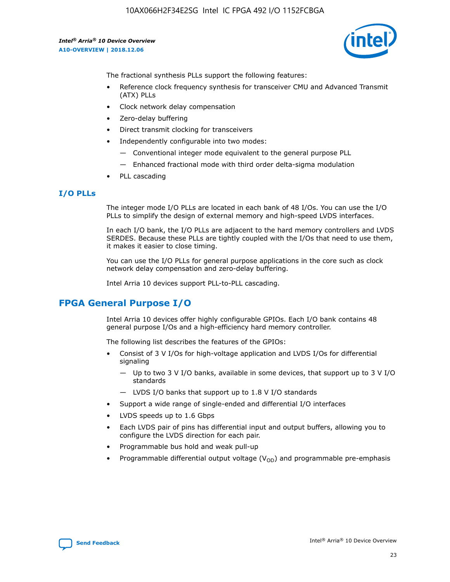

The fractional synthesis PLLs support the following features:

- Reference clock frequency synthesis for transceiver CMU and Advanced Transmit (ATX) PLLs
- Clock network delay compensation
- Zero-delay buffering
- Direct transmit clocking for transceivers
- Independently configurable into two modes:
	- Conventional integer mode equivalent to the general purpose PLL
	- Enhanced fractional mode with third order delta-sigma modulation
- PLL cascading

## **I/O PLLs**

The integer mode I/O PLLs are located in each bank of 48 I/Os. You can use the I/O PLLs to simplify the design of external memory and high-speed LVDS interfaces.

In each I/O bank, the I/O PLLs are adjacent to the hard memory controllers and LVDS SERDES. Because these PLLs are tightly coupled with the I/Os that need to use them, it makes it easier to close timing.

You can use the I/O PLLs for general purpose applications in the core such as clock network delay compensation and zero-delay buffering.

Intel Arria 10 devices support PLL-to-PLL cascading.

# **FPGA General Purpose I/O**

Intel Arria 10 devices offer highly configurable GPIOs. Each I/O bank contains 48 general purpose I/Os and a high-efficiency hard memory controller.

The following list describes the features of the GPIOs:

- Consist of 3 V I/Os for high-voltage application and LVDS I/Os for differential signaling
	- Up to two 3 V I/O banks, available in some devices, that support up to 3 V I/O standards
	- LVDS I/O banks that support up to 1.8 V I/O standards
- Support a wide range of single-ended and differential I/O interfaces
- LVDS speeds up to 1.6 Gbps
- Each LVDS pair of pins has differential input and output buffers, allowing you to configure the LVDS direction for each pair.
- Programmable bus hold and weak pull-up
- Programmable differential output voltage  $(V_{OD})$  and programmable pre-emphasis

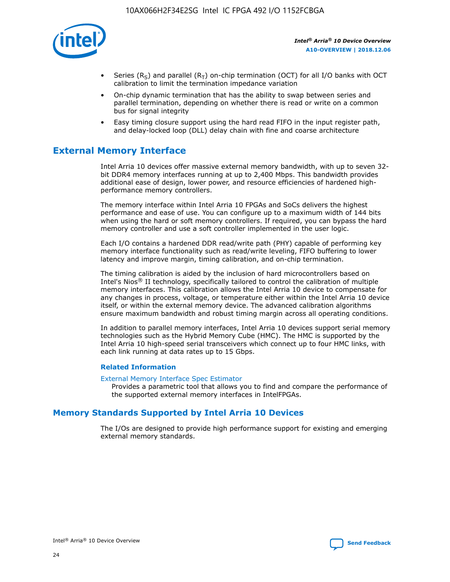

- Series (R<sub>S</sub>) and parallel (R<sub>T</sub>) on-chip termination (OCT) for all I/O banks with OCT calibration to limit the termination impedance variation
- On-chip dynamic termination that has the ability to swap between series and parallel termination, depending on whether there is read or write on a common bus for signal integrity
- Easy timing closure support using the hard read FIFO in the input register path, and delay-locked loop (DLL) delay chain with fine and coarse architecture

# **External Memory Interface**

Intel Arria 10 devices offer massive external memory bandwidth, with up to seven 32 bit DDR4 memory interfaces running at up to 2,400 Mbps. This bandwidth provides additional ease of design, lower power, and resource efficiencies of hardened highperformance memory controllers.

The memory interface within Intel Arria 10 FPGAs and SoCs delivers the highest performance and ease of use. You can configure up to a maximum width of 144 bits when using the hard or soft memory controllers. If required, you can bypass the hard memory controller and use a soft controller implemented in the user logic.

Each I/O contains a hardened DDR read/write path (PHY) capable of performing key memory interface functionality such as read/write leveling, FIFO buffering to lower latency and improve margin, timing calibration, and on-chip termination.

The timing calibration is aided by the inclusion of hard microcontrollers based on Intel's Nios® II technology, specifically tailored to control the calibration of multiple memory interfaces. This calibration allows the Intel Arria 10 device to compensate for any changes in process, voltage, or temperature either within the Intel Arria 10 device itself, or within the external memory device. The advanced calibration algorithms ensure maximum bandwidth and robust timing margin across all operating conditions.

In addition to parallel memory interfaces, Intel Arria 10 devices support serial memory technologies such as the Hybrid Memory Cube (HMC). The HMC is supported by the Intel Arria 10 high-speed serial transceivers which connect up to four HMC links, with each link running at data rates up to 15 Gbps.

#### **Related Information**

#### [External Memory Interface Spec Estimator](http://www.altera.com/technology/memory/estimator/mem-emif-index.html)

Provides a parametric tool that allows you to find and compare the performance of the supported external memory interfaces in IntelFPGAs.

## **Memory Standards Supported by Intel Arria 10 Devices**

The I/Os are designed to provide high performance support for existing and emerging external memory standards.

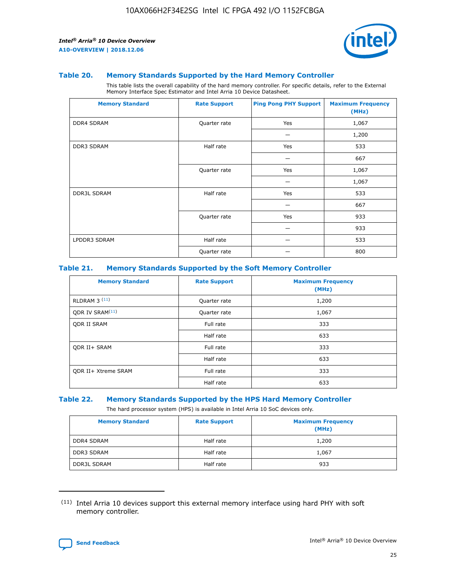

#### **Table 20. Memory Standards Supported by the Hard Memory Controller**

This table lists the overall capability of the hard memory controller. For specific details, refer to the External Memory Interface Spec Estimator and Intel Arria 10 Device Datasheet.

| <b>Memory Standard</b> | <b>Rate Support</b> | <b>Ping Pong PHY Support</b> | <b>Maximum Frequency</b><br>(MHz) |
|------------------------|---------------------|------------------------------|-----------------------------------|
| <b>DDR4 SDRAM</b>      | Quarter rate        | Yes                          | 1,067                             |
|                        |                     |                              | 1,200                             |
| <b>DDR3 SDRAM</b>      | Half rate           | Yes                          | 533                               |
|                        |                     |                              | 667                               |
|                        | Quarter rate        | Yes                          | 1,067                             |
|                        |                     |                              | 1,067                             |
| <b>DDR3L SDRAM</b>     | Half rate           | Yes                          | 533                               |
|                        |                     |                              | 667                               |
|                        | Quarter rate        | Yes                          | 933                               |
|                        |                     |                              | 933                               |
| LPDDR3 SDRAM           | Half rate           |                              | 533                               |
|                        | Quarter rate        |                              | 800                               |

#### **Table 21. Memory Standards Supported by the Soft Memory Controller**

| <b>Memory Standard</b>      | <b>Rate Support</b> | <b>Maximum Frequency</b><br>(MHz) |
|-----------------------------|---------------------|-----------------------------------|
| <b>RLDRAM 3 (11)</b>        | Quarter rate        | 1,200                             |
| ODR IV SRAM <sup>(11)</sup> | Quarter rate        | 1,067                             |
| <b>ODR II SRAM</b>          | Full rate           | 333                               |
|                             | Half rate           | 633                               |
| <b>ODR II+ SRAM</b>         | Full rate           | 333                               |
|                             | Half rate           | 633                               |
| <b>ODR II+ Xtreme SRAM</b>  | Full rate           | 333                               |
|                             | Half rate           | 633                               |

#### **Table 22. Memory Standards Supported by the HPS Hard Memory Controller**

The hard processor system (HPS) is available in Intel Arria 10 SoC devices only.

| <b>Memory Standard</b> | <b>Rate Support</b> | <b>Maximum Frequency</b><br>(MHz) |
|------------------------|---------------------|-----------------------------------|
| <b>DDR4 SDRAM</b>      | Half rate           | 1,200                             |
| <b>DDR3 SDRAM</b>      | Half rate           | 1,067                             |
| <b>DDR3L SDRAM</b>     | Half rate           | 933                               |

<sup>(11)</sup> Intel Arria 10 devices support this external memory interface using hard PHY with soft memory controller.

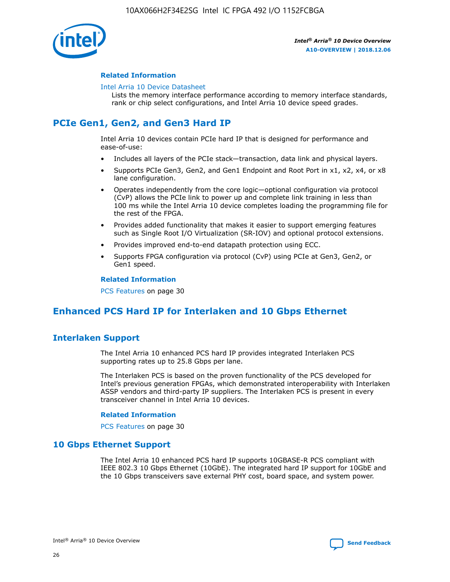

### **Related Information**

#### [Intel Arria 10 Device Datasheet](https://www.intel.com/content/www/us/en/programmable/documentation/mcn1413182292568.html#mcn1413182153340)

Lists the memory interface performance according to memory interface standards, rank or chip select configurations, and Intel Arria 10 device speed grades.

# **PCIe Gen1, Gen2, and Gen3 Hard IP**

Intel Arria 10 devices contain PCIe hard IP that is designed for performance and ease-of-use:

- Includes all layers of the PCIe stack—transaction, data link and physical layers.
- Supports PCIe Gen3, Gen2, and Gen1 Endpoint and Root Port in x1, x2, x4, or x8 lane configuration.
- Operates independently from the core logic—optional configuration via protocol (CvP) allows the PCIe link to power up and complete link training in less than 100 ms while the Intel Arria 10 device completes loading the programming file for the rest of the FPGA.
- Provides added functionality that makes it easier to support emerging features such as Single Root I/O Virtualization (SR-IOV) and optional protocol extensions.
- Provides improved end-to-end datapath protection using ECC.
- Supports FPGA configuration via protocol (CvP) using PCIe at Gen3, Gen2, or Gen1 speed.

#### **Related Information**

PCS Features on page 30

# **Enhanced PCS Hard IP for Interlaken and 10 Gbps Ethernet**

## **Interlaken Support**

The Intel Arria 10 enhanced PCS hard IP provides integrated Interlaken PCS supporting rates up to 25.8 Gbps per lane.

The Interlaken PCS is based on the proven functionality of the PCS developed for Intel's previous generation FPGAs, which demonstrated interoperability with Interlaken ASSP vendors and third-party IP suppliers. The Interlaken PCS is present in every transceiver channel in Intel Arria 10 devices.

#### **Related Information**

PCS Features on page 30

## **10 Gbps Ethernet Support**

The Intel Arria 10 enhanced PCS hard IP supports 10GBASE-R PCS compliant with IEEE 802.3 10 Gbps Ethernet (10GbE). The integrated hard IP support for 10GbE and the 10 Gbps transceivers save external PHY cost, board space, and system power.

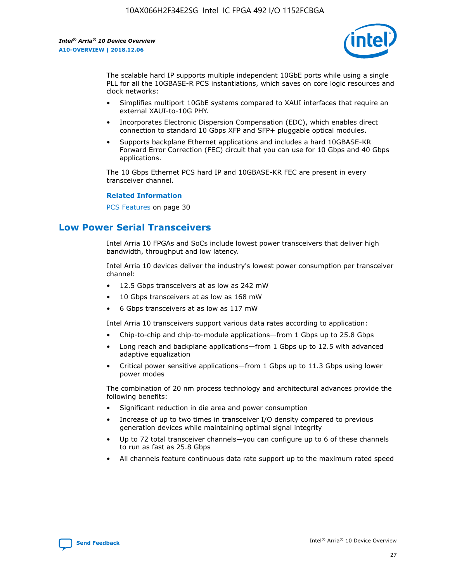

The scalable hard IP supports multiple independent 10GbE ports while using a single PLL for all the 10GBASE-R PCS instantiations, which saves on core logic resources and clock networks:

- Simplifies multiport 10GbE systems compared to XAUI interfaces that require an external XAUI-to-10G PHY.
- Incorporates Electronic Dispersion Compensation (EDC), which enables direct connection to standard 10 Gbps XFP and SFP+ pluggable optical modules.
- Supports backplane Ethernet applications and includes a hard 10GBASE-KR Forward Error Correction (FEC) circuit that you can use for 10 Gbps and 40 Gbps applications.

The 10 Gbps Ethernet PCS hard IP and 10GBASE-KR FEC are present in every transceiver channel.

#### **Related Information**

PCS Features on page 30

# **Low Power Serial Transceivers**

Intel Arria 10 FPGAs and SoCs include lowest power transceivers that deliver high bandwidth, throughput and low latency.

Intel Arria 10 devices deliver the industry's lowest power consumption per transceiver channel:

- 12.5 Gbps transceivers at as low as 242 mW
- 10 Gbps transceivers at as low as 168 mW
- 6 Gbps transceivers at as low as 117 mW

Intel Arria 10 transceivers support various data rates according to application:

- Chip-to-chip and chip-to-module applications—from 1 Gbps up to 25.8 Gbps
- Long reach and backplane applications—from 1 Gbps up to 12.5 with advanced adaptive equalization
- Critical power sensitive applications—from 1 Gbps up to 11.3 Gbps using lower power modes

The combination of 20 nm process technology and architectural advances provide the following benefits:

- Significant reduction in die area and power consumption
- Increase of up to two times in transceiver I/O density compared to previous generation devices while maintaining optimal signal integrity
- Up to 72 total transceiver channels—you can configure up to 6 of these channels to run as fast as 25.8 Gbps
- All channels feature continuous data rate support up to the maximum rated speed

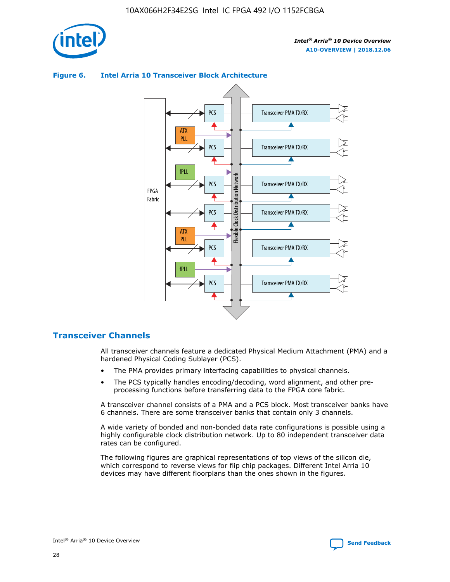

## Transceiver PMA TX/RX PCS ATX PLL Transceiver PMA TX/RX PCS fPLL Network Flexible Clock Distribution Network PCS Transceiver PMA TX/RX FPGA **Clock Distribution** Fabric PCS Transceiver PMA TX/RX ATX Flexible PLL PCS Transceiver PMA TX/RX ▲ fPLL Transceiver PMA TX/RX PCS 4

## **Figure 6. Intel Arria 10 Transceiver Block Architecture**

## **Transceiver Channels**

All transceiver channels feature a dedicated Physical Medium Attachment (PMA) and a hardened Physical Coding Sublayer (PCS).

- The PMA provides primary interfacing capabilities to physical channels.
- The PCS typically handles encoding/decoding, word alignment, and other preprocessing functions before transferring data to the FPGA core fabric.

A transceiver channel consists of a PMA and a PCS block. Most transceiver banks have 6 channels. There are some transceiver banks that contain only 3 channels.

A wide variety of bonded and non-bonded data rate configurations is possible using a highly configurable clock distribution network. Up to 80 independent transceiver data rates can be configured.

The following figures are graphical representations of top views of the silicon die, which correspond to reverse views for flip chip packages. Different Intel Arria 10 devices may have different floorplans than the ones shown in the figures.

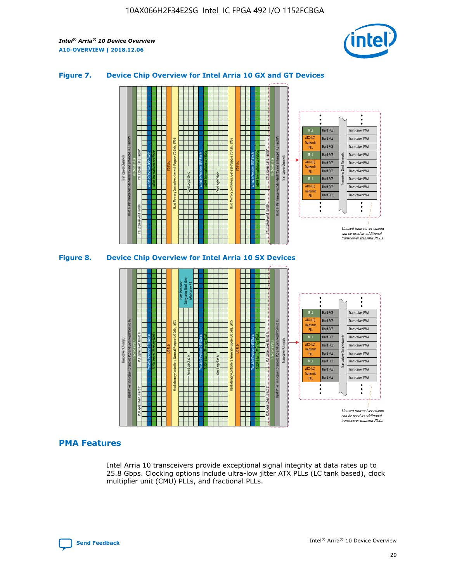

## **Figure 7. Device Chip Overview for Intel Arria 10 GX and GT Devices**



M20K Internal Memory Blocks Core Logic Fabric Transceiver Channels Hard IP Per Transceiver: Standard PCS and Enhanced PCS Hard IPs PCI Express Gen3 Hard IP Fractional PLLs M20K Internal Memory Blocks PCI Express Gen3 Hard IP Variable Precision DSP Blocks I/O PLLs Hard Memory Controllers, General-Purpose I/O Cells, LVDS Hard Processor Subsystem, Dual-Core ARM Cortex A9 M20K Internal Memory Blocks Variable Precision DSP Blocks M20K Internal Memory Blocks Core Logic Fabric I/O PLLs Hard Memory Controllers, General-Purpose I/O Cells, LVDS M20K Internal Memory Blocks Variable Precision DSP Blocks M20K Internal Memory Blocks Transceiver Channels Hard IP Per Transceiver: Standard PCS and Enhanced PCS Hard IPs PCI Express Gen3 Hard IP Fractional PLLs PCI Express Gen3 Hard IP Hard PCS Hard PCS Hard PCS Hard PCS Hard PCS Hard PCS Hard PCS Hard PCS Transceiver PMA Transceiver PMA Transceiver PMA Transceiver PMA Transceiver PMA Transceiver PMA Unused transceiver chann can be used as additional transceiver transmit PLLs Transceiver PMA Transceiver PMA Transceiver Clock Networks ATX (LC) **Transmit** PLL fPLL ATX (LC) Transmi PLL fPLL ATX (LC) **Transmit** PLL

## **PMA Features**

Intel Arria 10 transceivers provide exceptional signal integrity at data rates up to 25.8 Gbps. Clocking options include ultra-low jitter ATX PLLs (LC tank based), clock multiplier unit (CMU) PLLs, and fractional PLLs.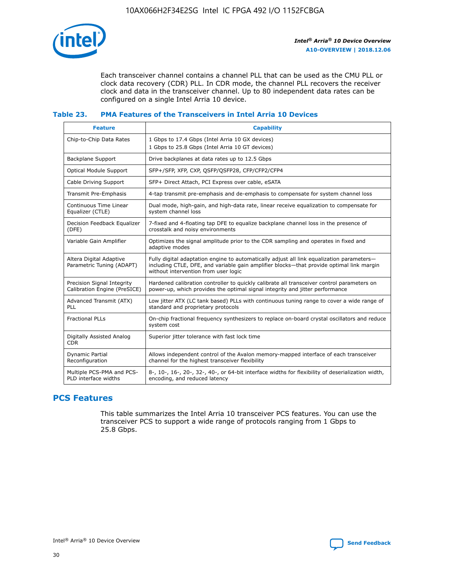

Each transceiver channel contains a channel PLL that can be used as the CMU PLL or clock data recovery (CDR) PLL. In CDR mode, the channel PLL recovers the receiver clock and data in the transceiver channel. Up to 80 independent data rates can be configured on a single Intel Arria 10 device.

## **Table 23. PMA Features of the Transceivers in Intel Arria 10 Devices**

| <b>Feature</b>                                             | <b>Capability</b>                                                                                                                                                                                                             |
|------------------------------------------------------------|-------------------------------------------------------------------------------------------------------------------------------------------------------------------------------------------------------------------------------|
| Chip-to-Chip Data Rates                                    | 1 Gbps to 17.4 Gbps (Intel Arria 10 GX devices)<br>1 Gbps to 25.8 Gbps (Intel Arria 10 GT devices)                                                                                                                            |
| Backplane Support                                          | Drive backplanes at data rates up to 12.5 Gbps                                                                                                                                                                                |
| <b>Optical Module Support</b>                              | SFP+/SFP, XFP, CXP, QSFP/QSFP28, CFP/CFP2/CFP4                                                                                                                                                                                |
| Cable Driving Support                                      | SFP+ Direct Attach, PCI Express over cable, eSATA                                                                                                                                                                             |
| Transmit Pre-Emphasis                                      | 4-tap transmit pre-emphasis and de-emphasis to compensate for system channel loss                                                                                                                                             |
| Continuous Time Linear<br>Equalizer (CTLE)                 | Dual mode, high-gain, and high-data rate, linear receive equalization to compensate for<br>system channel loss                                                                                                                |
| Decision Feedback Equalizer<br>(DFE)                       | 7-fixed and 4-floating tap DFE to equalize backplane channel loss in the presence of<br>crosstalk and noisy environments                                                                                                      |
| Variable Gain Amplifier                                    | Optimizes the signal amplitude prior to the CDR sampling and operates in fixed and<br>adaptive modes                                                                                                                          |
| Altera Digital Adaptive<br>Parametric Tuning (ADAPT)       | Fully digital adaptation engine to automatically adjust all link equalization parameters-<br>including CTLE, DFE, and variable gain amplifier blocks—that provide optimal link margin<br>without intervention from user logic |
| Precision Signal Integrity<br>Calibration Engine (PreSICE) | Hardened calibration controller to quickly calibrate all transceiver control parameters on<br>power-up, which provides the optimal signal integrity and jitter performance                                                    |
| Advanced Transmit (ATX)<br>PLL                             | Low jitter ATX (LC tank based) PLLs with continuous tuning range to cover a wide range of<br>standard and proprietary protocols                                                                                               |
| <b>Fractional PLLs</b>                                     | On-chip fractional frequency synthesizers to replace on-board crystal oscillators and reduce<br>system cost                                                                                                                   |
| Digitally Assisted Analog<br><b>CDR</b>                    | Superior jitter tolerance with fast lock time                                                                                                                                                                                 |
| <b>Dynamic Partial</b><br>Reconfiguration                  | Allows independent control of the Avalon memory-mapped interface of each transceiver<br>channel for the highest transceiver flexibility                                                                                       |
| Multiple PCS-PMA and PCS-<br>PLD interface widths          | 8-, 10-, 16-, 20-, 32-, 40-, or 64-bit interface widths for flexibility of deserialization width,<br>encoding, and reduced latency                                                                                            |

## **PCS Features**

This table summarizes the Intel Arria 10 transceiver PCS features. You can use the transceiver PCS to support a wide range of protocols ranging from 1 Gbps to 25.8 Gbps.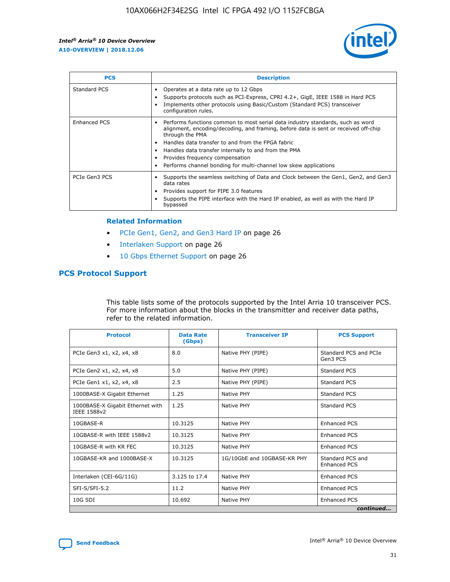

| <b>PCS</b>    | <b>Description</b>                                                                                                                                                                                                                                                                                                                                                                                             |
|---------------|----------------------------------------------------------------------------------------------------------------------------------------------------------------------------------------------------------------------------------------------------------------------------------------------------------------------------------------------------------------------------------------------------------------|
| Standard PCS  | Operates at a data rate up to 12 Gbps<br>Supports protocols such as PCI-Express, CPRI 4.2+, GigE, IEEE 1588 in Hard PCS<br>Implements other protocols using Basic/Custom (Standard PCS) transceiver<br>configuration rules.                                                                                                                                                                                    |
| Enhanced PCS  | Performs functions common to most serial data industry standards, such as word<br>alignment, encoding/decoding, and framing, before data is sent or received off-chip<br>through the PMA<br>• Handles data transfer to and from the FPGA fabric<br>Handles data transfer internally to and from the PMA<br>Provides frequency compensation<br>Performs channel bonding for multi-channel low skew applications |
| PCIe Gen3 PCS | Supports the seamless switching of Data and Clock between the Gen1, Gen2, and Gen3<br>data rates<br>Provides support for PIPE 3.0 features<br>Supports the PIPE interface with the Hard IP enabled, as well as with the Hard IP<br>bypassed                                                                                                                                                                    |

#### **Related Information**

- PCIe Gen1, Gen2, and Gen3 Hard IP on page 26
- Interlaken Support on page 26
- 10 Gbps Ethernet Support on page 26

## **PCS Protocol Support**

This table lists some of the protocols supported by the Intel Arria 10 transceiver PCS. For more information about the blocks in the transmitter and receiver data paths, refer to the related information.

| <b>Protocol</b>                                 | <b>Data Rate</b><br>(Gbps) | <b>Transceiver IP</b>       | <b>PCS Support</b>                      |
|-------------------------------------------------|----------------------------|-----------------------------|-----------------------------------------|
| PCIe Gen3 x1, x2, x4, x8                        | 8.0                        | Native PHY (PIPE)           | Standard PCS and PCIe<br>Gen3 PCS       |
| PCIe Gen2 x1, x2, x4, x8                        | 5.0                        | Native PHY (PIPE)           | <b>Standard PCS</b>                     |
| PCIe Gen1 x1, x2, x4, x8                        | 2.5                        | Native PHY (PIPE)           | Standard PCS                            |
| 1000BASE-X Gigabit Ethernet                     | 1.25                       | Native PHY                  | <b>Standard PCS</b>                     |
| 1000BASE-X Gigabit Ethernet with<br>IEEE 1588v2 | 1.25                       | Native PHY                  | Standard PCS                            |
| 10GBASE-R                                       | 10.3125                    | Native PHY                  | <b>Enhanced PCS</b>                     |
| 10GBASE-R with IEEE 1588v2                      | 10.3125                    | Native PHY                  | <b>Enhanced PCS</b>                     |
| 10GBASE-R with KR FEC                           | 10.3125                    | Native PHY                  | <b>Enhanced PCS</b>                     |
| 10GBASE-KR and 1000BASE-X                       | 10.3125                    | 1G/10GbE and 10GBASE-KR PHY | Standard PCS and<br><b>Enhanced PCS</b> |
| Interlaken (CEI-6G/11G)                         | 3.125 to 17.4              | Native PHY                  | <b>Enhanced PCS</b>                     |
| SFI-S/SFI-5.2                                   | 11.2                       | Native PHY                  | <b>Enhanced PCS</b>                     |
| $10G$ SDI                                       | 10.692                     | Native PHY                  | <b>Enhanced PCS</b>                     |
|                                                 |                            |                             | continued                               |

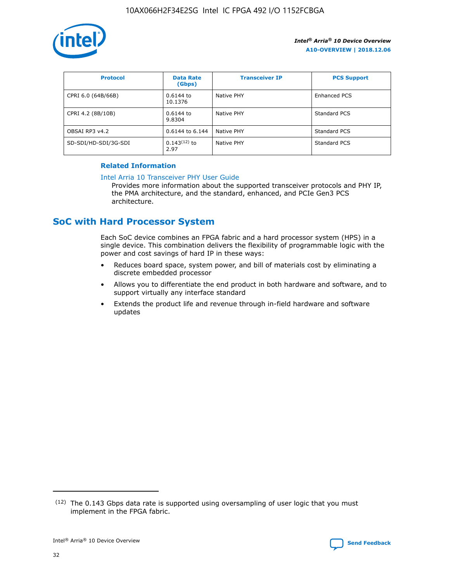

| <b>Protocol</b>      | <b>Data Rate</b><br>(Gbps) | <b>Transceiver IP</b> | <b>PCS Support</b> |
|----------------------|----------------------------|-----------------------|--------------------|
| CPRI 6.0 (64B/66B)   | 0.6144 to<br>10.1376       | Native PHY            | Enhanced PCS       |
| CPRI 4.2 (8B/10B)    | 0.6144 to<br>9.8304        | Native PHY            | Standard PCS       |
| OBSAI RP3 v4.2       | 0.6144 to 6.144            | Native PHY            | Standard PCS       |
| SD-SDI/HD-SDI/3G-SDI | $0.143(12)$ to<br>2.97     | Native PHY            | Standard PCS       |

## **Related Information**

#### [Intel Arria 10 Transceiver PHY User Guide](https://www.intel.com/content/www/us/en/programmable/documentation/nik1398707230472.html#nik1398707091164)

Provides more information about the supported transceiver protocols and PHY IP, the PMA architecture, and the standard, enhanced, and PCIe Gen3 PCS architecture.

# **SoC with Hard Processor System**

Each SoC device combines an FPGA fabric and a hard processor system (HPS) in a single device. This combination delivers the flexibility of programmable logic with the power and cost savings of hard IP in these ways:

- Reduces board space, system power, and bill of materials cost by eliminating a discrete embedded processor
- Allows you to differentiate the end product in both hardware and software, and to support virtually any interface standard
- Extends the product life and revenue through in-field hardware and software updates

 $(12)$  The 0.143 Gbps data rate is supported using oversampling of user logic that you must implement in the FPGA fabric.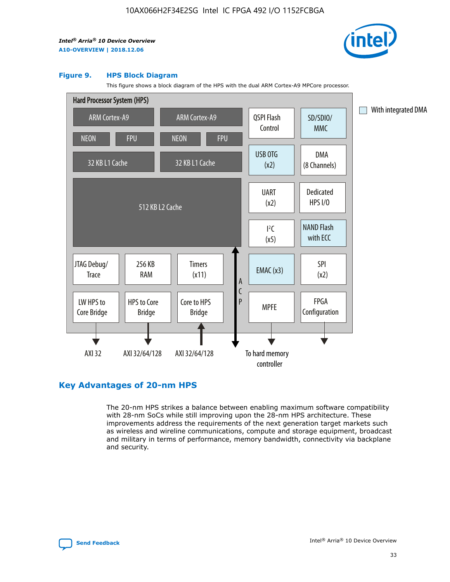

#### **Figure 9. HPS Block Diagram**

This figure shows a block diagram of the HPS with the dual ARM Cortex-A9 MPCore processor.



## **Key Advantages of 20-nm HPS**

The 20-nm HPS strikes a balance between enabling maximum software compatibility with 28-nm SoCs while still improving upon the 28-nm HPS architecture. These improvements address the requirements of the next generation target markets such as wireless and wireline communications, compute and storage equipment, broadcast and military in terms of performance, memory bandwidth, connectivity via backplane and security.

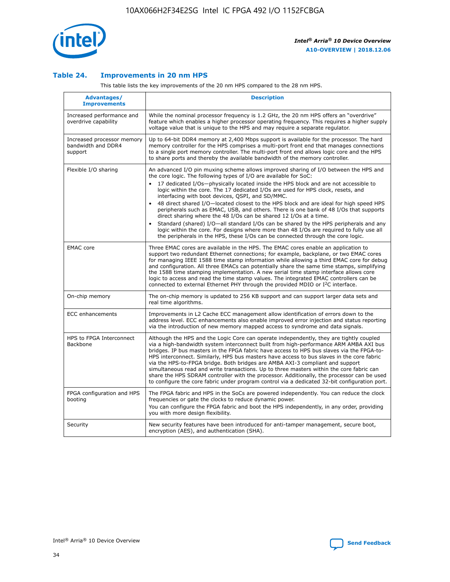

## **Table 24. Improvements in 20 nm HPS**

This table lists the key improvements of the 20 nm HPS compared to the 28 nm HPS.

| Advantages/<br><b>Improvements</b>                          | <b>Description</b>                                                                                                                                                                                                                                                                                                                                                                                                                                                                                                                                                                                                                                                                                                                                                                                                                                                                                                      |
|-------------------------------------------------------------|-------------------------------------------------------------------------------------------------------------------------------------------------------------------------------------------------------------------------------------------------------------------------------------------------------------------------------------------------------------------------------------------------------------------------------------------------------------------------------------------------------------------------------------------------------------------------------------------------------------------------------------------------------------------------------------------------------------------------------------------------------------------------------------------------------------------------------------------------------------------------------------------------------------------------|
| Increased performance and<br>overdrive capability           | While the nominal processor frequency is 1.2 GHz, the 20 nm HPS offers an "overdrive"<br>feature which enables a higher processor operating frequency. This requires a higher supply<br>voltage value that is unique to the HPS and may require a separate regulator.                                                                                                                                                                                                                                                                                                                                                                                                                                                                                                                                                                                                                                                   |
| Increased processor memory<br>bandwidth and DDR4<br>support | Up to 64-bit DDR4 memory at 2,400 Mbps support is available for the processor. The hard<br>memory controller for the HPS comprises a multi-port front end that manages connections<br>to a single port memory controller. The multi-port front end allows logic core and the HPS<br>to share ports and thereby the available bandwidth of the memory controller.                                                                                                                                                                                                                                                                                                                                                                                                                                                                                                                                                        |
| Flexible I/O sharing                                        | An advanced I/O pin muxing scheme allows improved sharing of I/O between the HPS and<br>the core logic. The following types of I/O are available for SoC:<br>17 dedicated I/Os-physically located inside the HPS block and are not accessible to<br>logic within the core. The 17 dedicated I/Os are used for HPS clock, resets, and<br>interfacing with boot devices, QSPI, and SD/MMC.<br>48 direct shared I/O-located closest to the HPS block and are ideal for high speed HPS<br>peripherals such as EMAC, USB, and others. There is one bank of 48 I/Os that supports<br>direct sharing where the 48 I/Os can be shared 12 I/Os at a time.<br>Standard (shared) I/O-all standard I/Os can be shared by the HPS peripherals and any<br>logic within the core. For designs where more than 48 I/Os are required to fully use all<br>the peripherals in the HPS, these I/Os can be connected through the core logic. |
| <b>EMAC</b> core                                            | Three EMAC cores are available in the HPS. The EMAC cores enable an application to<br>support two redundant Ethernet connections; for example, backplane, or two EMAC cores<br>for managing IEEE 1588 time stamp information while allowing a third EMAC core for debug<br>and configuration. All three EMACs can potentially share the same time stamps, simplifying<br>the 1588 time stamping implementation. A new serial time stamp interface allows core<br>logic to access and read the time stamp values. The integrated EMAC controllers can be<br>connected to external Ethernet PHY through the provided MDIO or I <sup>2</sup> C interface.                                                                                                                                                                                                                                                                  |
| On-chip memory                                              | The on-chip memory is updated to 256 KB support and can support larger data sets and<br>real time algorithms.                                                                                                                                                                                                                                                                                                                                                                                                                                                                                                                                                                                                                                                                                                                                                                                                           |
| <b>ECC</b> enhancements                                     | Improvements in L2 Cache ECC management allow identification of errors down to the<br>address level. ECC enhancements also enable improved error injection and status reporting<br>via the introduction of new memory mapped access to syndrome and data signals.                                                                                                                                                                                                                                                                                                                                                                                                                                                                                                                                                                                                                                                       |
| HPS to FPGA Interconnect<br><b>Backbone</b>                 | Although the HPS and the Logic Core can operate independently, they are tightly coupled<br>via a high-bandwidth system interconnect built from high-performance ARM AMBA AXI bus<br>bridges. IP bus masters in the FPGA fabric have access to HPS bus slaves via the FPGA-to-<br>HPS interconnect. Similarly, HPS bus masters have access to bus slaves in the core fabric<br>via the HPS-to-FPGA bridge. Both bridges are AMBA AXI-3 compliant and support<br>simultaneous read and write transactions. Up to three masters within the core fabric can<br>share the HPS SDRAM controller with the processor. Additionally, the processor can be used<br>to configure the core fabric under program control via a dedicated 32-bit configuration port.                                                                                                                                                                  |
| FPGA configuration and HPS<br>booting                       | The FPGA fabric and HPS in the SoCs are powered independently. You can reduce the clock<br>frequencies or gate the clocks to reduce dynamic power.<br>You can configure the FPGA fabric and boot the HPS independently, in any order, providing<br>you with more design flexibility.                                                                                                                                                                                                                                                                                                                                                                                                                                                                                                                                                                                                                                    |
| Security                                                    | New security features have been introduced for anti-tamper management, secure boot,<br>encryption (AES), and authentication (SHA).                                                                                                                                                                                                                                                                                                                                                                                                                                                                                                                                                                                                                                                                                                                                                                                      |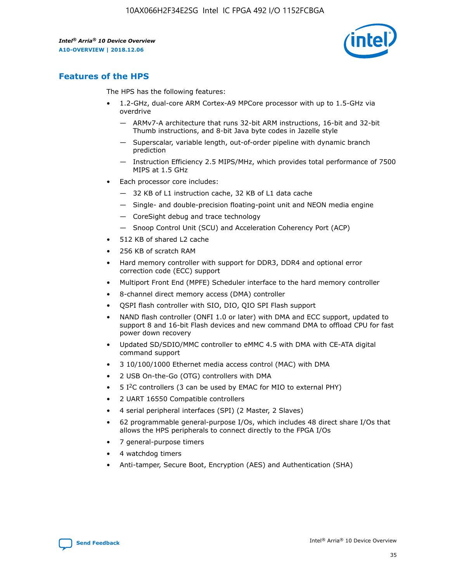

## **Features of the HPS**

The HPS has the following features:

- 1.2-GHz, dual-core ARM Cortex-A9 MPCore processor with up to 1.5-GHz via overdrive
	- ARMv7-A architecture that runs 32-bit ARM instructions, 16-bit and 32-bit Thumb instructions, and 8-bit Java byte codes in Jazelle style
	- Superscalar, variable length, out-of-order pipeline with dynamic branch prediction
	- Instruction Efficiency 2.5 MIPS/MHz, which provides total performance of 7500 MIPS at 1.5 GHz
- Each processor core includes:
	- 32 KB of L1 instruction cache, 32 KB of L1 data cache
	- Single- and double-precision floating-point unit and NEON media engine
	- CoreSight debug and trace technology
	- Snoop Control Unit (SCU) and Acceleration Coherency Port (ACP)
- 512 KB of shared L2 cache
- 256 KB of scratch RAM
- Hard memory controller with support for DDR3, DDR4 and optional error correction code (ECC) support
- Multiport Front End (MPFE) Scheduler interface to the hard memory controller
- 8-channel direct memory access (DMA) controller
- QSPI flash controller with SIO, DIO, QIO SPI Flash support
- NAND flash controller (ONFI 1.0 or later) with DMA and ECC support, updated to support 8 and 16-bit Flash devices and new command DMA to offload CPU for fast power down recovery
- Updated SD/SDIO/MMC controller to eMMC 4.5 with DMA with CE-ATA digital command support
- 3 10/100/1000 Ethernet media access control (MAC) with DMA
- 2 USB On-the-Go (OTG) controllers with DMA
- $\bullet$  5 I<sup>2</sup>C controllers (3 can be used by EMAC for MIO to external PHY)
- 2 UART 16550 Compatible controllers
- 4 serial peripheral interfaces (SPI) (2 Master, 2 Slaves)
- 62 programmable general-purpose I/Os, which includes 48 direct share I/Os that allows the HPS peripherals to connect directly to the FPGA I/Os
- 7 general-purpose timers
- 4 watchdog timers
- Anti-tamper, Secure Boot, Encryption (AES) and Authentication (SHA)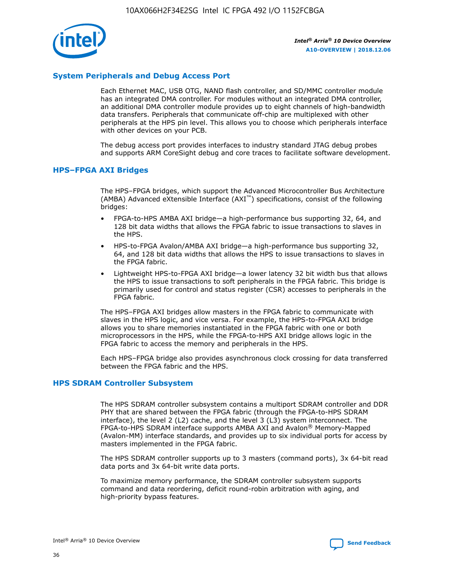

## **System Peripherals and Debug Access Port**

Each Ethernet MAC, USB OTG, NAND flash controller, and SD/MMC controller module has an integrated DMA controller. For modules without an integrated DMA controller, an additional DMA controller module provides up to eight channels of high-bandwidth data transfers. Peripherals that communicate off-chip are multiplexed with other peripherals at the HPS pin level. This allows you to choose which peripherals interface with other devices on your PCB.

The debug access port provides interfaces to industry standard JTAG debug probes and supports ARM CoreSight debug and core traces to facilitate software development.

#### **HPS–FPGA AXI Bridges**

The HPS–FPGA bridges, which support the Advanced Microcontroller Bus Architecture (AMBA) Advanced eXtensible Interface (AXI™) specifications, consist of the following bridges:

- FPGA-to-HPS AMBA AXI bridge—a high-performance bus supporting 32, 64, and 128 bit data widths that allows the FPGA fabric to issue transactions to slaves in the HPS.
- HPS-to-FPGA Avalon/AMBA AXI bridge—a high-performance bus supporting 32, 64, and 128 bit data widths that allows the HPS to issue transactions to slaves in the FPGA fabric.
- Lightweight HPS-to-FPGA AXI bridge—a lower latency 32 bit width bus that allows the HPS to issue transactions to soft peripherals in the FPGA fabric. This bridge is primarily used for control and status register (CSR) accesses to peripherals in the FPGA fabric.

The HPS–FPGA AXI bridges allow masters in the FPGA fabric to communicate with slaves in the HPS logic, and vice versa. For example, the HPS-to-FPGA AXI bridge allows you to share memories instantiated in the FPGA fabric with one or both microprocessors in the HPS, while the FPGA-to-HPS AXI bridge allows logic in the FPGA fabric to access the memory and peripherals in the HPS.

Each HPS–FPGA bridge also provides asynchronous clock crossing for data transferred between the FPGA fabric and the HPS.

#### **HPS SDRAM Controller Subsystem**

The HPS SDRAM controller subsystem contains a multiport SDRAM controller and DDR PHY that are shared between the FPGA fabric (through the FPGA-to-HPS SDRAM interface), the level 2 (L2) cache, and the level 3 (L3) system interconnect. The FPGA-to-HPS SDRAM interface supports AMBA AXI and Avalon® Memory-Mapped (Avalon-MM) interface standards, and provides up to six individual ports for access by masters implemented in the FPGA fabric.

The HPS SDRAM controller supports up to 3 masters (command ports), 3x 64-bit read data ports and 3x 64-bit write data ports.

To maximize memory performance, the SDRAM controller subsystem supports command and data reordering, deficit round-robin arbitration with aging, and high-priority bypass features.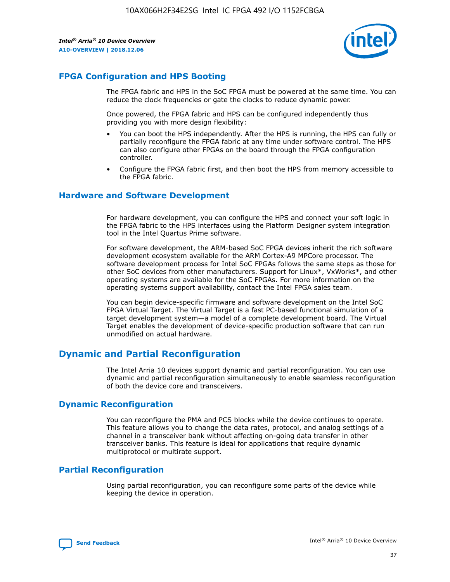

## **FPGA Configuration and HPS Booting**

The FPGA fabric and HPS in the SoC FPGA must be powered at the same time. You can reduce the clock frequencies or gate the clocks to reduce dynamic power.

Once powered, the FPGA fabric and HPS can be configured independently thus providing you with more design flexibility:

- You can boot the HPS independently. After the HPS is running, the HPS can fully or partially reconfigure the FPGA fabric at any time under software control. The HPS can also configure other FPGAs on the board through the FPGA configuration controller.
- Configure the FPGA fabric first, and then boot the HPS from memory accessible to the FPGA fabric.

## **Hardware and Software Development**

For hardware development, you can configure the HPS and connect your soft logic in the FPGA fabric to the HPS interfaces using the Platform Designer system integration tool in the Intel Quartus Prime software.

For software development, the ARM-based SoC FPGA devices inherit the rich software development ecosystem available for the ARM Cortex-A9 MPCore processor. The software development process for Intel SoC FPGAs follows the same steps as those for other SoC devices from other manufacturers. Support for Linux\*, VxWorks\*, and other operating systems are available for the SoC FPGAs. For more information on the operating systems support availability, contact the Intel FPGA sales team.

You can begin device-specific firmware and software development on the Intel SoC FPGA Virtual Target. The Virtual Target is a fast PC-based functional simulation of a target development system—a model of a complete development board. The Virtual Target enables the development of device-specific production software that can run unmodified on actual hardware.

## **Dynamic and Partial Reconfiguration**

The Intel Arria 10 devices support dynamic and partial reconfiguration. You can use dynamic and partial reconfiguration simultaneously to enable seamless reconfiguration of both the device core and transceivers.

## **Dynamic Reconfiguration**

You can reconfigure the PMA and PCS blocks while the device continues to operate. This feature allows you to change the data rates, protocol, and analog settings of a channel in a transceiver bank without affecting on-going data transfer in other transceiver banks. This feature is ideal for applications that require dynamic multiprotocol or multirate support.

## **Partial Reconfiguration**

Using partial reconfiguration, you can reconfigure some parts of the device while keeping the device in operation.

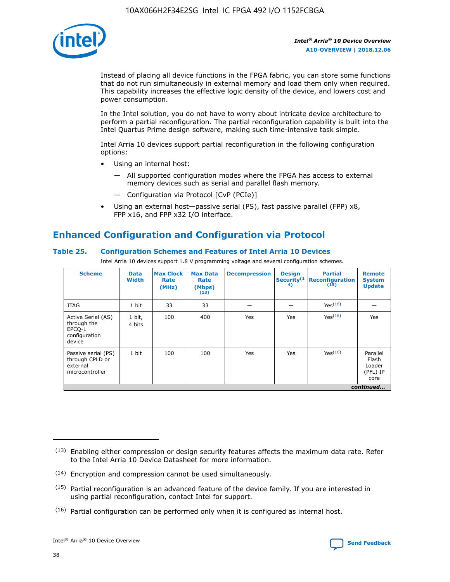

Instead of placing all device functions in the FPGA fabric, you can store some functions that do not run simultaneously in external memory and load them only when required. This capability increases the effective logic density of the device, and lowers cost and power consumption.

In the Intel solution, you do not have to worry about intricate device architecture to perform a partial reconfiguration. The partial reconfiguration capability is built into the Intel Quartus Prime design software, making such time-intensive task simple.

Intel Arria 10 devices support partial reconfiguration in the following configuration options:

- Using an internal host:
	- All supported configuration modes where the FPGA has access to external memory devices such as serial and parallel flash memory.
	- Configuration via Protocol [CvP (PCIe)]
- Using an external host—passive serial (PS), fast passive parallel (FPP) x8, FPP x16, and FPP x32 I/O interface.

# **Enhanced Configuration and Configuration via Protocol**

## **Table 25. Configuration Schemes and Features of Intel Arria 10 Devices**

Intel Arria 10 devices support 1.8 V programming voltage and several configuration schemes.

| <b>Scheme</b>                                                          | <b>Data</b><br><b>Width</b> | <b>Max Clock</b><br>Rate<br>(MHz) | <b>Max Data</b><br>Rate<br>(Mbps)<br>(13) | <b>Decompression</b> | <b>Design</b><br>Security <sup>(1</sup><br>4) | <b>Partial</b><br>Reconfiguration<br>(15) | <b>Remote</b><br><b>System</b><br><b>Update</b> |
|------------------------------------------------------------------------|-----------------------------|-----------------------------------|-------------------------------------------|----------------------|-----------------------------------------------|-------------------------------------------|-------------------------------------------------|
| <b>JTAG</b>                                                            | 1 bit                       | 33                                | 33                                        |                      |                                               | Yes <sup>(16)</sup>                       |                                                 |
| Active Serial (AS)<br>through the<br>EPCO-L<br>configuration<br>device | 1 bit,<br>4 bits            | 100                               | 400                                       | Yes                  | Yes                                           | $Y_{PS}(16)$                              | Yes                                             |
| Passive serial (PS)<br>through CPLD or<br>external<br>microcontroller  | 1 bit                       | 100                               | 100                                       | Yes                  | Yes                                           | Yes(16)                                   | Parallel<br>Flash<br>Loader<br>(PFL) IP<br>core |
|                                                                        |                             |                                   |                                           |                      |                                               |                                           | continued                                       |

<sup>(13)</sup> Enabling either compression or design security features affects the maximum data rate. Refer to the Intel Arria 10 Device Datasheet for more information.

<sup>(14)</sup> Encryption and compression cannot be used simultaneously.

 $<sup>(15)</sup>$  Partial reconfiguration is an advanced feature of the device family. If you are interested in</sup> using partial reconfiguration, contact Intel for support.

 $(16)$  Partial configuration can be performed only when it is configured as internal host.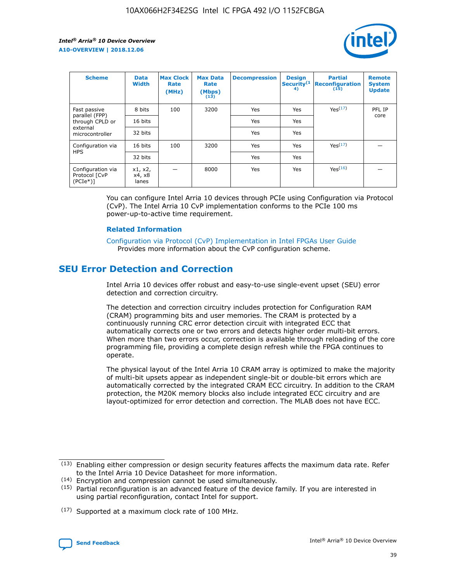

| <b>Scheme</b>                                    | <b>Data</b><br><b>Width</b> | <b>Max Clock</b><br>Rate<br>(MHz) | <b>Max Data</b><br>Rate<br>(Mbps)<br>(13) | <b>Decompression</b> | <b>Design</b><br>Security <sup>(1</sup><br>4) | <b>Partial</b><br><b>Reconfiguration</b><br>(15) | <b>Remote</b><br><b>System</b><br><b>Update</b> |
|--------------------------------------------------|-----------------------------|-----------------------------------|-------------------------------------------|----------------------|-----------------------------------------------|--------------------------------------------------|-------------------------------------------------|
| Fast passive                                     | 8 bits                      | 100                               | 3200                                      | Yes                  | Yes                                           | Yes(17)                                          | PFL IP                                          |
| parallel (FPP)<br>through CPLD or                | 16 bits                     |                                   |                                           | Yes                  | Yes                                           |                                                  | core                                            |
| external<br>microcontroller                      | 32 bits                     |                                   |                                           | Yes                  | Yes                                           |                                                  |                                                 |
| Configuration via                                | 16 bits                     | 100                               | 3200                                      | Yes                  | Yes                                           | Yes <sup>(17)</sup>                              |                                                 |
| <b>HPS</b>                                       | 32 bits                     |                                   |                                           | Yes                  | Yes                                           |                                                  |                                                 |
| Configuration via<br>Protocol [CvP<br>$(PCIe^*)$ | x1, x2,<br>x4, x8<br>lanes  |                                   | 8000                                      | Yes                  | Yes                                           | Yes(16)                                          |                                                 |

You can configure Intel Arria 10 devices through PCIe using Configuration via Protocol (CvP). The Intel Arria 10 CvP implementation conforms to the PCIe 100 ms power-up-to-active time requirement.

#### **Related Information**

[Configuration via Protocol \(CvP\) Implementation in Intel FPGAs User Guide](https://www.intel.com/content/www/us/en/programmable/documentation/dsu1441819344145.html#dsu1442269728522) Provides more information about the CvP configuration scheme.

# **SEU Error Detection and Correction**

Intel Arria 10 devices offer robust and easy-to-use single-event upset (SEU) error detection and correction circuitry.

The detection and correction circuitry includes protection for Configuration RAM (CRAM) programming bits and user memories. The CRAM is protected by a continuously running CRC error detection circuit with integrated ECC that automatically corrects one or two errors and detects higher order multi-bit errors. When more than two errors occur, correction is available through reloading of the core programming file, providing a complete design refresh while the FPGA continues to operate.

The physical layout of the Intel Arria 10 CRAM array is optimized to make the majority of multi-bit upsets appear as independent single-bit or double-bit errors which are automatically corrected by the integrated CRAM ECC circuitry. In addition to the CRAM protection, the M20K memory blocks also include integrated ECC circuitry and are layout-optimized for error detection and correction. The MLAB does not have ECC.

<sup>(17)</sup> Supported at a maximum clock rate of 100 MHz.



 $(13)$  Enabling either compression or design security features affects the maximum data rate. Refer to the Intel Arria 10 Device Datasheet for more information.

<sup>(14)</sup> Encryption and compression cannot be used simultaneously.

 $(15)$  Partial reconfiguration is an advanced feature of the device family. If you are interested in using partial reconfiguration, contact Intel for support.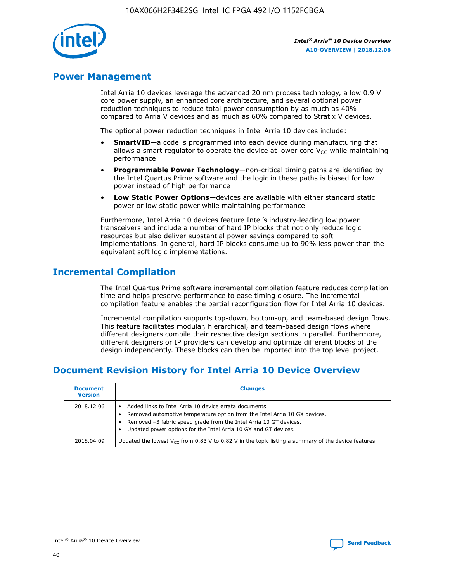

## **Power Management**

Intel Arria 10 devices leverage the advanced 20 nm process technology, a low 0.9 V core power supply, an enhanced core architecture, and several optional power reduction techniques to reduce total power consumption by as much as 40% compared to Arria V devices and as much as 60% compared to Stratix V devices.

The optional power reduction techniques in Intel Arria 10 devices include:

- **SmartVID**—a code is programmed into each device during manufacturing that allows a smart regulator to operate the device at lower core  $V_{CC}$  while maintaining performance
- **Programmable Power Technology**—non-critical timing paths are identified by the Intel Quartus Prime software and the logic in these paths is biased for low power instead of high performance
- **Low Static Power Options**—devices are available with either standard static power or low static power while maintaining performance

Furthermore, Intel Arria 10 devices feature Intel's industry-leading low power transceivers and include a number of hard IP blocks that not only reduce logic resources but also deliver substantial power savings compared to soft implementations. In general, hard IP blocks consume up to 90% less power than the equivalent soft logic implementations.

# **Incremental Compilation**

The Intel Quartus Prime software incremental compilation feature reduces compilation time and helps preserve performance to ease timing closure. The incremental compilation feature enables the partial reconfiguration flow for Intel Arria 10 devices.

Incremental compilation supports top-down, bottom-up, and team-based design flows. This feature facilitates modular, hierarchical, and team-based design flows where different designers compile their respective design sections in parallel. Furthermore, different designers or IP providers can develop and optimize different blocks of the design independently. These blocks can then be imported into the top level project.

# **Document Revision History for Intel Arria 10 Device Overview**

| <b>Document</b><br><b>Version</b> | <b>Changes</b>                                                                                                                                                                                                                                                              |
|-----------------------------------|-----------------------------------------------------------------------------------------------------------------------------------------------------------------------------------------------------------------------------------------------------------------------------|
| 2018.12.06                        | Added links to Intel Arria 10 device errata documents.<br>Removed automotive temperature option from the Intel Arria 10 GX devices.<br>Removed -3 fabric speed grade from the Intel Arria 10 GT devices.<br>Updated power options for the Intel Arria 10 GX and GT devices. |
| 2018.04.09                        | Updated the lowest $V_{CC}$ from 0.83 V to 0.82 V in the topic listing a summary of the device features.                                                                                                                                                                    |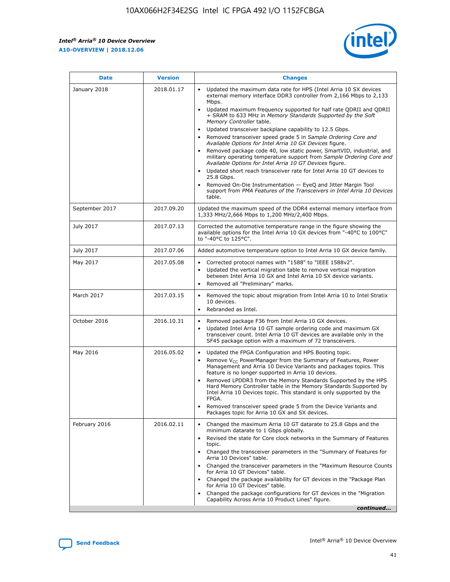*Intel® Arria® 10 Device Overview* **A10-OVERVIEW | 2018.12.06**



| <b>Date</b>    | <b>Version</b> | <b>Changes</b>                                                                                                                                                                                                                                                                                                                                                                                                                                                                                                                                                                                                                                                                                                                                                                                                                                                                                                                                                            |
|----------------|----------------|---------------------------------------------------------------------------------------------------------------------------------------------------------------------------------------------------------------------------------------------------------------------------------------------------------------------------------------------------------------------------------------------------------------------------------------------------------------------------------------------------------------------------------------------------------------------------------------------------------------------------------------------------------------------------------------------------------------------------------------------------------------------------------------------------------------------------------------------------------------------------------------------------------------------------------------------------------------------------|
| January 2018   | 2018.01.17     | Updated the maximum data rate for HPS (Intel Arria 10 SX devices<br>external memory interface DDR3 controller from 2,166 Mbps to 2,133<br>Mbps.<br>Updated maximum frequency supported for half rate QDRII and QDRII<br>+ SRAM to 633 MHz in Memory Standards Supported by the Soft<br>Memory Controller table.<br>Updated transceiver backplane capability to 12.5 Gbps.<br>$\bullet$<br>Removed transceiver speed grade 5 in Sample Ordering Core and<br>Available Options for Intel Arria 10 GX Devices figure.<br>Removed package code 40, low static power, SmartVID, industrial, and<br>military operating temperature support from Sample Ordering Core and<br>Available Options for Intel Arria 10 GT Devices figure.<br>Updated short reach transceiver rate for Intel Arria 10 GT devices to<br>25.8 Gbps.<br>Removed On-Die Instrumentation - EyeQ and Jitter Margin Tool<br>support from PMA Features of the Transceivers in Intel Arria 10 Devices<br>table. |
| September 2017 | 2017.09.20     | Updated the maximum speed of the DDR4 external memory interface from<br>1,333 MHz/2,666 Mbps to 1,200 MHz/2,400 Mbps.                                                                                                                                                                                                                                                                                                                                                                                                                                                                                                                                                                                                                                                                                                                                                                                                                                                     |
| July 2017      | 2017.07.13     | Corrected the automotive temperature range in the figure showing the<br>available options for the Intel Arria 10 GX devices from "-40°C to 100°C"<br>to "-40°C to 125°C".                                                                                                                                                                                                                                                                                                                                                                                                                                                                                                                                                                                                                                                                                                                                                                                                 |
| July 2017      | 2017.07.06     | Added automotive temperature option to Intel Arria 10 GX device family.                                                                                                                                                                                                                                                                                                                                                                                                                                                                                                                                                                                                                                                                                                                                                                                                                                                                                                   |
| May 2017       | 2017.05.08     | Corrected protocol names with "1588" to "IEEE 1588v2".<br>$\bullet$<br>Updated the vertical migration table to remove vertical migration<br>$\bullet$<br>between Intel Arria 10 GX and Intel Arria 10 SX device variants.<br>Removed all "Preliminary" marks.<br>$\bullet$                                                                                                                                                                                                                                                                                                                                                                                                                                                                                                                                                                                                                                                                                                |
| March 2017     | 2017.03.15     | Removed the topic about migration from Intel Arria 10 to Intel Stratix<br>10 devices.<br>Rebranded as Intel.<br>$\bullet$                                                                                                                                                                                                                                                                                                                                                                                                                                                                                                                                                                                                                                                                                                                                                                                                                                                 |
| October 2016   | 2016.10.31     | Removed package F36 from Intel Arria 10 GX devices.<br>Updated Intel Arria 10 GT sample ordering code and maximum GX<br>$\bullet$<br>transceiver count. Intel Arria 10 GT devices are available only in the<br>SF45 package option with a maximum of 72 transceivers.                                                                                                                                                                                                                                                                                                                                                                                                                                                                                                                                                                                                                                                                                                     |
| May 2016       | 2016.05.02     | Updated the FPGA Configuration and HPS Booting topic.<br>$\bullet$<br>Remove V <sub>CC</sub> PowerManager from the Summary of Features, Power<br>Management and Arria 10 Device Variants and packages topics. This<br>feature is no longer supported in Arria 10 devices.<br>Removed LPDDR3 from the Memory Standards Supported by the HPS<br>Hard Memory Controller table in the Memory Standards Supported by<br>Intel Arria 10 Devices topic. This standard is only supported by the<br>FPGA.<br>Removed transceiver speed grade 5 from the Device Variants and<br>Packages topic for Arria 10 GX and SX devices.                                                                                                                                                                                                                                                                                                                                                      |
| February 2016  | 2016.02.11     | Changed the maximum Arria 10 GT datarate to 25.8 Gbps and the<br>minimum datarate to 1 Gbps globally.<br>Revised the state for Core clock networks in the Summary of Features<br>$\bullet$<br>topic.<br>Changed the transceiver parameters in the "Summary of Features for<br>$\bullet$<br>Arria 10 Devices" table.<br>• Changed the transceiver parameters in the "Maximum Resource Counts<br>for Arria 10 GT Devices" table.<br>Changed the package availability for GT devices in the "Package Plan<br>for Arria 10 GT Devices" table.<br>Changed the package configurations for GT devices in the "Migration"<br>Capability Across Arria 10 Product Lines" figure.<br>continued                                                                                                                                                                                                                                                                                       |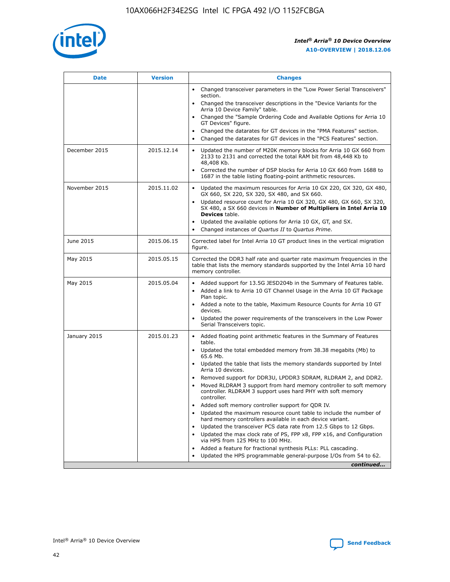

| <b>Date</b>   | <b>Version</b> | <b>Changes</b>                                                                                                                                                                   |
|---------------|----------------|----------------------------------------------------------------------------------------------------------------------------------------------------------------------------------|
|               |                | • Changed transceiver parameters in the "Low Power Serial Transceivers"<br>section.                                                                                              |
|               |                | • Changed the transceiver descriptions in the "Device Variants for the<br>Arria 10 Device Family" table.                                                                         |
|               |                | Changed the "Sample Ordering Code and Available Options for Arria 10<br>GT Devices" figure.                                                                                      |
|               |                | Changed the datarates for GT devices in the "PMA Features" section.                                                                                                              |
|               |                | Changed the datarates for GT devices in the "PCS Features" section.<br>$\bullet$                                                                                                 |
| December 2015 | 2015.12.14     | Updated the number of M20K memory blocks for Arria 10 GX 660 from<br>$\bullet$<br>2133 to 2131 and corrected the total RAM bit from 48,448 Kb to<br>48,408 Kb.                   |
|               |                | Corrected the number of DSP blocks for Arria 10 GX 660 from 1688 to<br>$\bullet$<br>1687 in the table listing floating-point arithmetic resources.                               |
| November 2015 | 2015.11.02     | Updated the maximum resources for Arria 10 GX 220, GX 320, GX 480,<br>$\bullet$<br>GX 660, SX 220, SX 320, SX 480, and SX 660.                                                   |
|               |                | Updated resource count for Arria 10 GX 320, GX 480, GX 660, SX 320,<br>$\bullet$<br>SX 480, a SX 660 devices in Number of Multipliers in Intel Arria 10<br><b>Devices</b> table. |
|               |                | Updated the available options for Arria 10 GX, GT, and SX.<br>$\bullet$                                                                                                          |
|               |                | Changed instances of Quartus II to Quartus Prime.<br>$\bullet$                                                                                                                   |
| June 2015     | 2015.06.15     | Corrected label for Intel Arria 10 GT product lines in the vertical migration<br>figure.                                                                                         |
| May 2015      | 2015.05.15     | Corrected the DDR3 half rate and quarter rate maximum frequencies in the<br>table that lists the memory standards supported by the Intel Arria 10 hard<br>memory controller.     |
| May 2015      | 2015.05.04     | • Added support for 13.5G JESD204b in the Summary of Features table.<br>• Added a link to Arria 10 GT Channel Usage in the Arria 10 GT Package<br>Plan topic.                    |
|               |                | • Added a note to the table, Maximum Resource Counts for Arria 10 GT<br>devices.                                                                                                 |
|               |                | Updated the power requirements of the transceivers in the Low Power<br>Serial Transceivers topic.                                                                                |
| January 2015  | 2015.01.23     | • Added floating point arithmetic features in the Summary of Features<br>table.                                                                                                  |
|               |                | • Updated the total embedded memory from 38.38 megabits (Mb) to<br>65.6 Mb.                                                                                                      |
|               |                | • Updated the table that lists the memory standards supported by Intel<br>Arria 10 devices.                                                                                      |
|               |                | Removed support for DDR3U, LPDDR3 SDRAM, RLDRAM 2, and DDR2.                                                                                                                     |
|               |                | Moved RLDRAM 3 support from hard memory controller to soft memory<br>controller. RLDRAM 3 support uses hard PHY with soft memory<br>controller.                                  |
|               |                | Added soft memory controller support for QDR IV.                                                                                                                                 |
|               |                | Updated the maximum resource count table to include the number of<br>hard memory controllers available in each device variant.                                                   |
|               |                | Updated the transceiver PCS data rate from 12.5 Gbps to 12 Gbps.<br>$\bullet$                                                                                                    |
|               |                | Updated the max clock rate of PS, FPP x8, FPP x16, and Configuration<br>via HPS from 125 MHz to 100 MHz.                                                                         |
|               |                | Added a feature for fractional synthesis PLLs: PLL cascading.                                                                                                                    |
|               |                | Updated the HPS programmable general-purpose I/Os from 54 to 62.                                                                                                                 |
|               |                | continued                                                                                                                                                                        |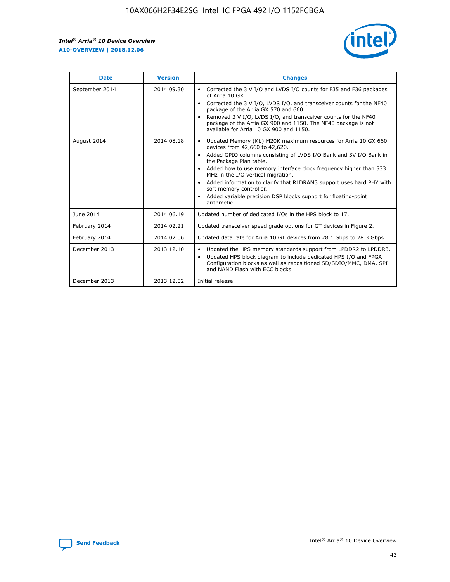r



| <b>Date</b>    | <b>Version</b> | <b>Changes</b>                                                                                                                                                                                                                                                                                                                                                                                                                                                                                                                                      |
|----------------|----------------|-----------------------------------------------------------------------------------------------------------------------------------------------------------------------------------------------------------------------------------------------------------------------------------------------------------------------------------------------------------------------------------------------------------------------------------------------------------------------------------------------------------------------------------------------------|
| September 2014 | 2014.09.30     | Corrected the 3 V I/O and LVDS I/O counts for F35 and F36 packages<br>$\bullet$<br>of Arria 10 GX.<br>Corrected the 3 V I/O, LVDS I/O, and transceiver counts for the NF40<br>$\bullet$<br>package of the Arria GX 570 and 660.<br>Removed 3 V I/O, LVDS I/O, and transceiver counts for the NF40<br>package of the Arria GX 900 and 1150. The NF40 package is not<br>available for Arria 10 GX 900 and 1150.                                                                                                                                       |
| August 2014    | 2014.08.18     | Updated Memory (Kb) M20K maximum resources for Arria 10 GX 660<br>devices from 42,660 to 42,620.<br>Added GPIO columns consisting of LVDS I/O Bank and 3V I/O Bank in<br>$\bullet$<br>the Package Plan table.<br>Added how to use memory interface clock frequency higher than 533<br>$\bullet$<br>MHz in the I/O vertical migration.<br>Added information to clarify that RLDRAM3 support uses hard PHY with<br>$\bullet$<br>soft memory controller.<br>Added variable precision DSP blocks support for floating-point<br>$\bullet$<br>arithmetic. |
| June 2014      | 2014.06.19     | Updated number of dedicated I/Os in the HPS block to 17.                                                                                                                                                                                                                                                                                                                                                                                                                                                                                            |
| February 2014  | 2014.02.21     | Updated transceiver speed grade options for GT devices in Figure 2.                                                                                                                                                                                                                                                                                                                                                                                                                                                                                 |
| February 2014  | 2014.02.06     | Updated data rate for Arria 10 GT devices from 28.1 Gbps to 28.3 Gbps.                                                                                                                                                                                                                                                                                                                                                                                                                                                                              |
| December 2013  | 2013.12.10     | Updated the HPS memory standards support from LPDDR2 to LPDDR3.<br>Updated HPS block diagram to include dedicated HPS I/O and FPGA<br>$\bullet$<br>Configuration blocks as well as repositioned SD/SDIO/MMC, DMA, SPI<br>and NAND Flash with ECC blocks.                                                                                                                                                                                                                                                                                            |
| December 2013  | 2013.12.02     | Initial release.                                                                                                                                                                                                                                                                                                                                                                                                                                                                                                                                    |